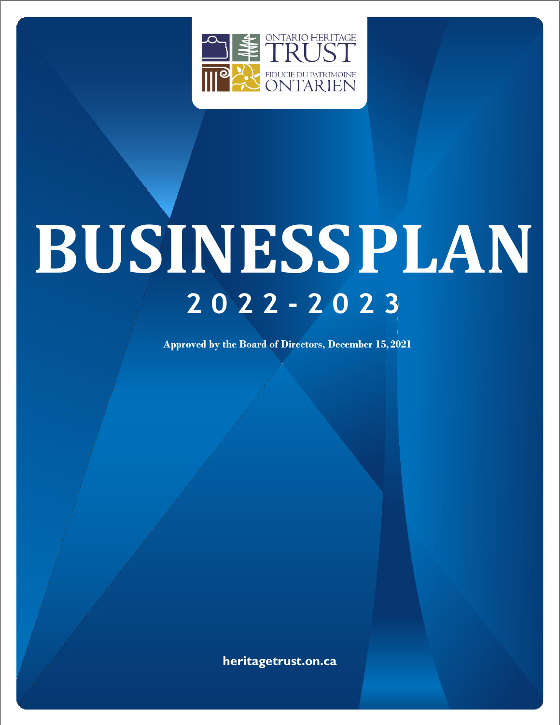

# **BUSINESSPLAN 2 0 2 2 - 2 0 2 3**

**Approved by the Board of Directors, December 15,2021**

**heritagetrust.on.ca**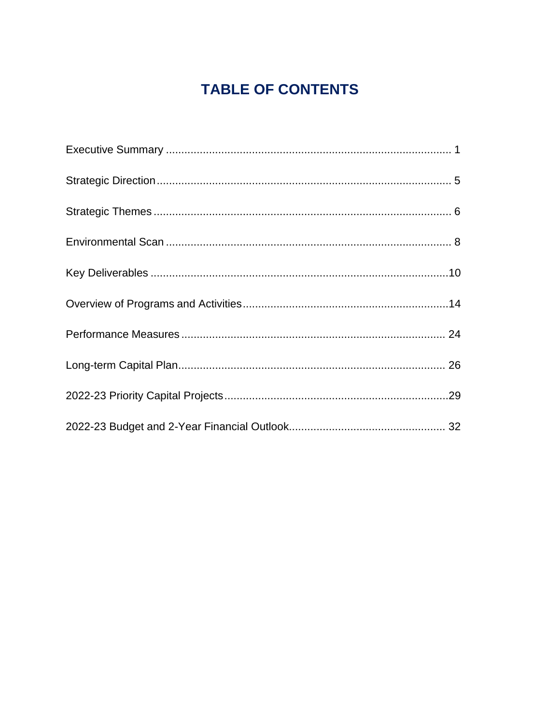# **TABLE OF CONTENTS**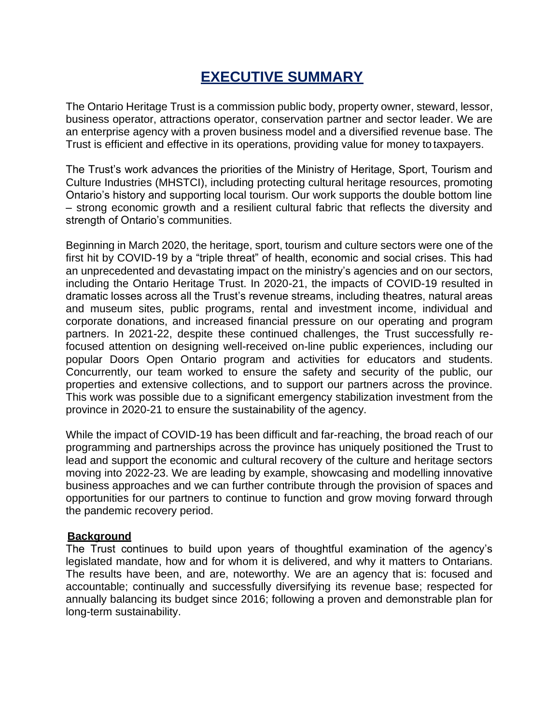# **EXECUTIVE SUMMARY**

<span id="page-2-0"></span>The Ontario Heritage Trust is a commission public body, property owner, steward, lessor, business operator, attractions operator, conservation partner and sector leader. We are an enterprise agency with a proven business model and a diversified revenue base. The Trust is efficient and effective in its operations, providing value for money to taxpayers.

The Trust's work advances the priorities of the Ministry of Heritage, Sport, Tourism and Culture Industries (MHSTCI), including protecting cultural heritage resources, promoting Ontario's history and supporting local tourism. Our work supports the double bottom line – strong economic growth and a resilient cultural fabric that reflects the diversity and strength of Ontario's communities.

Beginning in March 2020, the heritage, sport, tourism and culture sectors were one of the first hit by COVID-19 by a "triple threat" of health, economic and social crises. This had an unprecedented and devastating impact on the ministry's agencies and on our sectors, including the Ontario Heritage Trust. In 2020-21, the impacts of COVID-19 resulted in dramatic losses across all the Trust's revenue streams, including theatres, natural areas and museum sites, public programs, rental and investment income, individual and corporate donations, and increased financial pressure on our operating and program partners. In 2021-22, despite these continued challenges, the Trust successfully refocused attention on designing well-received on-line public experiences, including our popular Doors Open Ontario program and activities for educators and students. Concurrently, our team worked to ensure the safety and security of the public, our properties and extensive collections, and to support our partners across the province. This work was possible due to a significant emergency stabilization investment from the province in 2020-21 to ensure the sustainability of the agency.

While the impact of COVID-19 has been difficult and far-reaching, the broad reach of our programming and partnerships across the province has uniquely positioned the Trust to lead and support the economic and cultural recovery of the culture and heritage sectors moving into 2022-23. We are leading by example, showcasing and modelling innovative business approaches and we can further contribute through the provision of spaces and opportunities for our partners to continue to function and grow moving forward through the pandemic recovery period.

#### **Background**

The Trust continues to build upon years of thoughtful examination of the agency's legislated mandate, how and for whom it is delivered, and why it matters to Ontarians. The results have been, and are, noteworthy. We are an agency that is: focused and accountable; continually and successfully diversifying its revenue base; respected for annually balancing its budget since 2016; following a proven and demonstrable plan for long-term sustainability.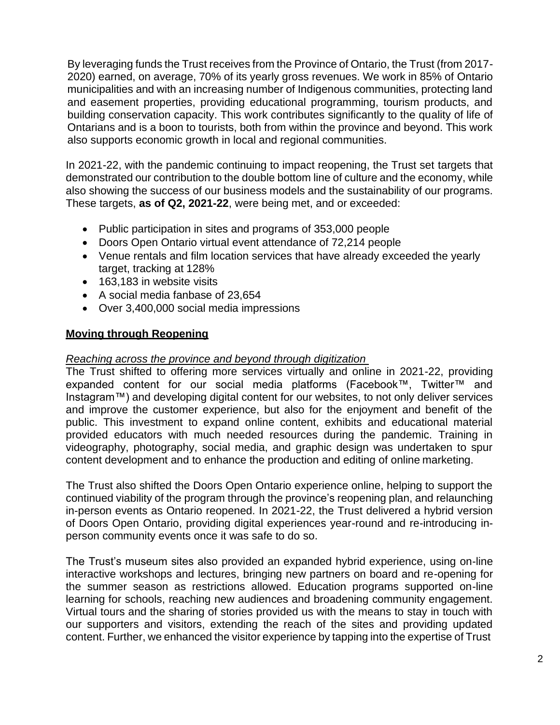By leveraging funds the Trust receives from the Province of Ontario, the Trust (from 2017- 2020) earned, on average, 70% of its yearly gross revenues. We work in 85% of Ontario municipalities and with an increasing number of Indigenous communities, protecting land and easement properties, providing educational programming, tourism products, and building conservation capacity. This work contributes significantly to the quality of life of Ontarians and is a boon to tourists, both from within the province and beyond. This work also supports economic growth in local and regional communities.

In 2021-22, with the pandemic continuing to impact reopening, the Trust set targets that demonstrated our contribution to the double bottom line of culture and the economy, while also showing the success of our business models and the sustainability of our programs. These targets, **as of Q2, 2021-22**, were being met, and or exceeded:

- Public participation in sites and programs of 353,000 people
- Doors Open Ontario virtual event attendance of 72,214 people
- Venue rentals and film location services that have already exceeded the yearly target, tracking at 128%
- 163,183 in website visits
- A social media fanbase of 23,654
- Over 3,400,000 social media impressions

#### **Moving through Reopening**

#### *Reaching across the province and beyond through digitization*

The Trust shifted to offering more services virtually and online in 2021-22, providing expanded content for our social media platforms (Facebook™, Twitter™ and Instagram™) and developing digital content for our websites, to not only deliver services and improve the customer experience, but also for the enjoyment and benefit of the public. This investment to expand online content, exhibits and educational material provided educators with much needed resources during the pandemic. Training in videography, photography, social media, and graphic design was undertaken to spur content development and to enhance the production and editing of online marketing.

The Trust also shifted the Doors Open Ontario experience online, helping to support the continued viability of the program through the province's reopening plan, and relaunching in-person events as Ontario reopened. In 2021-22, the Trust delivered a hybrid version of Doors Open Ontario, providing digital experiences year-round and re-introducing inperson community events once it was safe to do so.

The Trust's museum sites also provided an expanded hybrid experience, using on-line interactive workshops and lectures, bringing new partners on board and re-opening for the summer season as restrictions allowed. Education programs supported on-line learning for schools, reaching new audiences and broadening community engagement. Virtual tours and the sharing of stories provided us with the means to stay in touch with our supporters and visitors, extending the reach of the sites and providing updated content. Further, we enhanced the visitor experience by tapping into the expertise of Trust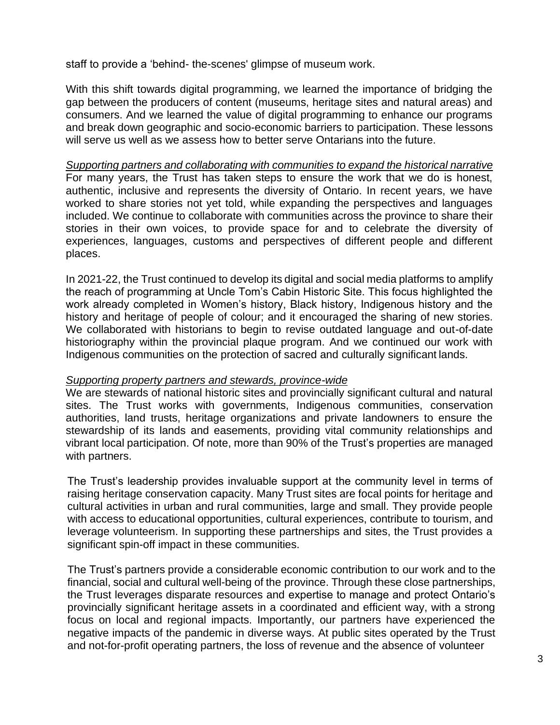staff to provide a 'behind- the-scenes' glimpse of museum work.

With this shift towards digital programming, we learned the importance of bridging the gap between the producers of content (museums, heritage sites and natural areas) and consumers. And we learned the value of digital programming to enhance our programs and break down geographic and socio-economic barriers to participation. These lessons will serve us well as we assess how to better serve Ontarians into the future.

*Supporting partners and collaborating with communities to expand the historical narrative* For many years, the Trust has taken steps to ensure the work that we do is honest, authentic, inclusive and represents the diversity of Ontario. In recent years, we have worked to share stories not yet told, while expanding the perspectives and languages included. We continue to collaborate with communities across the province to share their stories in their own voices, to provide space for and to celebrate the diversity of experiences, languages, customs and perspectives of different people and different places.

In 2021-22, the Trust continued to develop its digital and social media platforms to amplify the reach of programming at Uncle Tom's Cabin Historic Site. This focus highlighted the work already completed in Women's history, Black history, Indigenous history and the history and heritage of people of colour; and it encouraged the sharing of new stories. We collaborated with historians to begin to revise outdated language and out-of-date historiography within the provincial plaque program. And we continued our work with Indigenous communities on the protection of sacred and culturally significant lands.

#### *Supporting property partners and stewards, province-wide*

We are stewards of national historic sites and provincially significant cultural and natural sites. The Trust works with governments, Indigenous communities, conservation authorities, land trusts, heritage organizations and private landowners to ensure the stewardship of its lands and easements, providing vital community relationships and vibrant local participation. Of note, more than 90% of the Trust's properties are managed with partners.

The Trust's leadership provides invaluable support at the community level in terms of raising heritage conservation capacity. Many Trust sites are focal points for heritage and cultural activities in urban and rural communities, large and small. They provide people with access to educational opportunities, cultural experiences, contribute to tourism, and leverage volunteerism. In supporting these partnerships and sites, the Trust provides a significant spin-off impact in these communities.

The Trust's partners provide a considerable economic contribution to our work and to the financial, social and cultural well-being of the province. Through these close partnerships, the Trust leverages disparate resources and expertise to manage and protect Ontario's provincially significant heritage assets in a coordinated and efficient way, with a strong focus on local and regional impacts. Importantly, our partners have experienced the negative impacts of the pandemic in diverse ways. At public sites operated by the Trust and not-for-profit operating partners, the loss of revenue and the absence of volunteer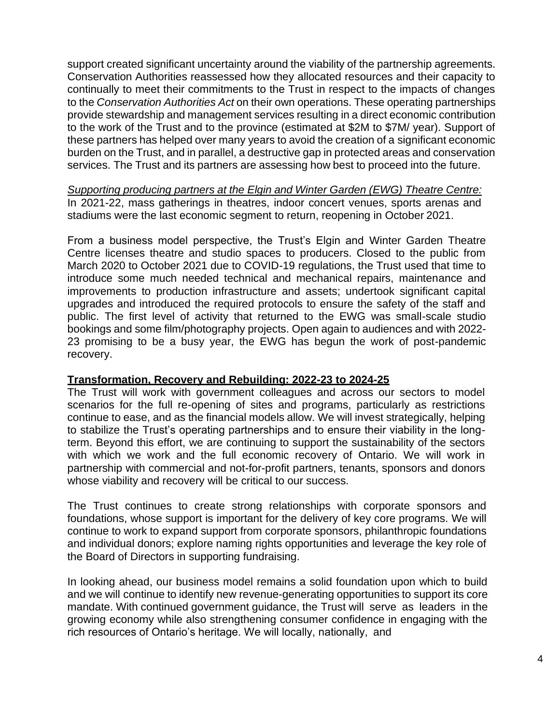support created significant uncertainty around the viability of the partnership agreements. Conservation Authorities reassessed how they allocated resources and their capacity to continually to meet their commitments to the Trust in respect to the impacts of changes to the *Conservation Authorities Act* on their own operations. These operating partnerships provide stewardship and management services resulting in a direct economic contribution to the work of the Trust and to the province (estimated at \$2M to \$7M/ year). Support of these partners has helped over many years to avoid the creation of a significant economic burden on the Trust, and in parallel, a destructive gap in protected areas and conservation services. The Trust and its partners are assessing how best to proceed into the future.

*Supporting producing partners at the Elgin and Winter Garden (EWG) Theatre Centre:* In 2021-22, mass gatherings in theatres, indoor concert venues, sports arenas and stadiums were the last economic segment to return, reopening in October 2021.

From a business model perspective, the Trust's Elgin and Winter Garden Theatre Centre licenses theatre and studio spaces to producers. Closed to the public from March 2020 to October 2021 due to COVID-19 regulations, the Trust used that time to introduce some much needed technical and mechanical repairs, maintenance and improvements to production infrastructure and assets; undertook significant capital upgrades and introduced the required protocols to ensure the safety of the staff and public. The first level of activity that returned to the EWG was small-scale studio bookings and some film/photography projects. Open again to audiences and with 2022- 23 promising to be a busy year, the EWG has begun the work of post-pandemic recovery.

# **Transformation, Recovery and Rebuilding: 2022-23 to 2024-25**

The Trust will work with government colleagues and across our sectors to model scenarios for the full re-opening of sites and programs, particularly as restrictions continue to ease, and as the financial models allow. We will invest strategically, helping to stabilize the Trust's operating partnerships and to ensure their viability in the longterm. Beyond this effort, we are continuing to support the sustainability of the sectors with which we work and the full economic recovery of Ontario. We will work in partnership with commercial and not-for-profit partners, tenants, sponsors and donors whose viability and recovery will be critical to our success.

The Trust continues to create strong relationships with corporate sponsors and foundations, whose support is important for the delivery of key core programs. We will continue to work to expand support from corporate sponsors, philanthropic foundations and individual donors; explore naming rights opportunities and leverage the key role of the Board of Directors in supporting fundraising.

In looking ahead, our business model remains a solid foundation upon which to build and we will continue to identify new revenue-generating opportunities to support its core mandate. With continued government guidance, the Trust will serve as leaders in the growing economy while also strengthening consumer confidence in engaging with the rich resources of Ontario's heritage. We will locally, nationally, and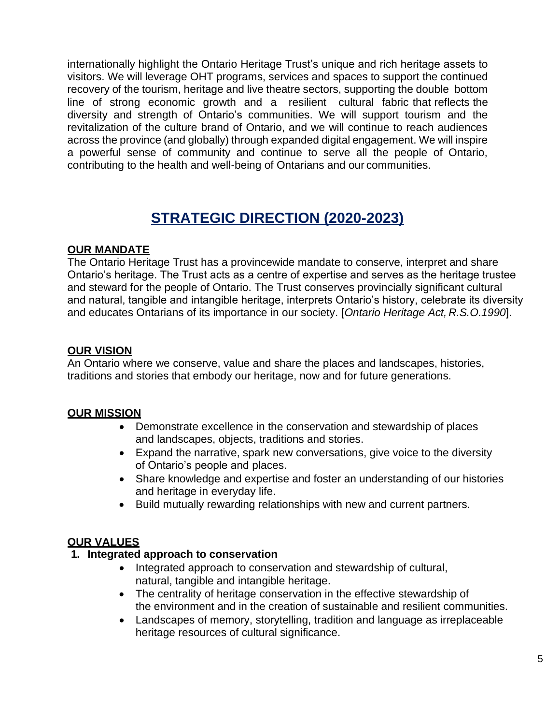internationally highlight the Ontario Heritage Trust's unique and rich heritage assets to visitors. We will leverage OHT programs, services and spaces to support the continued recovery of the tourism, heritage and live theatre sectors, supporting the double bottom line of strong economic growth and a resilient cultural fabric that reflects the diversity and strength of Ontario's communities. We will support tourism and the revitalization of the culture brand of Ontario, and we will continue to reach audiences across the province (and globally) through expanded digital engagement. We will inspire a powerful sense of community and continue to serve all the people of Ontario, contributing to the health and well-being of Ontarians and our communities.

# **STRATEGIC DIRECTION (2020-2023)**

#### **OUR MANDATE**

The Ontario Heritage Trust has a provincewide mandate to conserve, interpret and share Ontario's heritage. The Trust acts as a centre of expertise and serves as the heritage trustee and steward for the people of Ontario. The Trust conserves provincially significant cultural and natural, tangible and intangible heritage, interprets Ontario's history, celebrate its diversity and educates Ontarians of its importance in our society. [*Ontario Heritage Act, R.S.O.1990*].

#### **OUR VISION**

An Ontario where we conserve, value and share the places and landscapes, histories, traditions and stories that embody our heritage, now and for future generations.

#### **OUR MISSION**

- Demonstrate excellence in the conservation and stewardship of places and landscapes, objects, traditions and stories.
- Expand the narrative, spark new conversations, give voice to the diversity of Ontario's people and places.
- Share knowledge and expertise and foster an understanding of our histories and heritage in everyday life.
- Build mutually rewarding relationships with new and current partners.

#### **OUR VALUES**

#### **1. Integrated approach to conservation**

- Integrated approach to conservation and stewardship of cultural, natural, tangible and intangible heritage.
- The centrality of heritage conservation in the effective stewardship of the environment and in the creation of sustainable and resilient communities.
- Landscapes of memory, storytelling, tradition and language as irreplaceable heritage resources of cultural significance.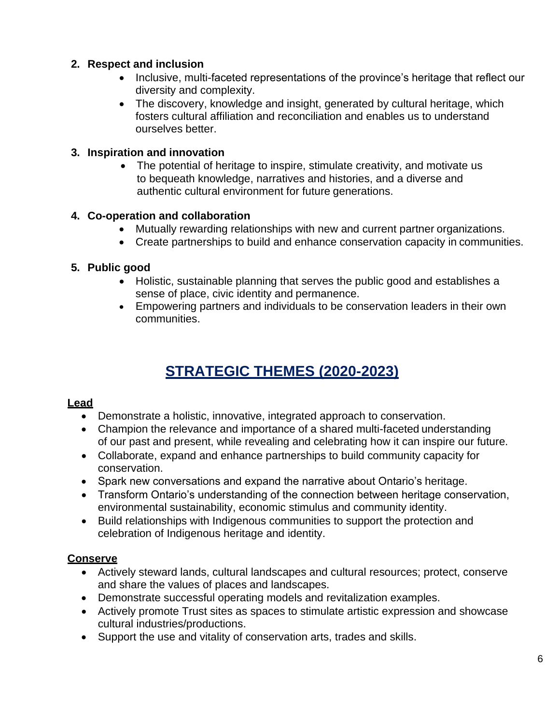# **2. Respect and inclusion**

- Inclusive, multi-faceted representations of the province's heritage that reflect our diversity and complexity.
- The discovery, knowledge and insight, generated by cultural heritage, which fosters cultural affiliation and reconciliation and enables us to understand ourselves better.

# **3. Inspiration and innovation**

• The potential of heritage to inspire, stimulate creativity, and motivate us to bequeath knowledge, narratives and histories, and a diverse and authentic cultural environment for future generations.

# **4. Co-operation and collaboration**

- Mutually rewarding relationships with new and current partner organizations.
- Create partnerships to build and enhance conservation capacity in communities.

# **5. Public good**

- Holistic, sustainable planning that serves the public good and establishes a sense of place, civic identity and permanence.
- Empowering partners and individuals to be conservation leaders in their own communities.

# **STRATEGIC THEMES (2020-2023)**

# **Lead**

- Demonstrate a holistic, innovative, integrated approach to conservation.
- Champion the relevance and importance of a shared multi-faceted understanding of our past and present, while revealing and celebrating how it can inspire our future.
- Collaborate, expand and enhance partnerships to build community capacity for conservation.
- Spark new conversations and expand the narrative about Ontario's heritage.
- Transform Ontario's understanding of the connection between heritage conservation, environmental sustainability, economic stimulus and community identity.
- Build relationships with Indigenous communities to support the protection and celebration of Indigenous heritage and identity.

# **Conserve**

- Actively steward lands, cultural landscapes and cultural resources; protect, conserve and share the values of places and landscapes.
- Demonstrate successful operating models and revitalization examples.
- Actively promote Trust sites as spaces to stimulate artistic expression and showcase cultural industries/productions.
- Support the use and vitality of conservation arts, trades and skills.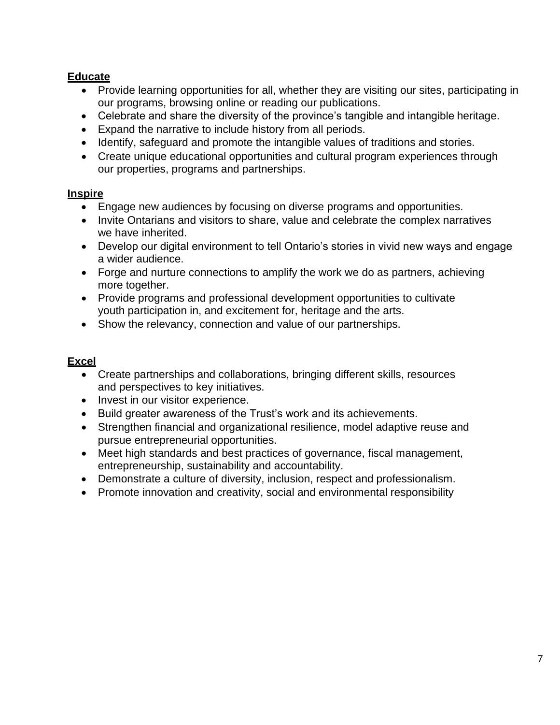# **Educate**

- Provide learning opportunities for all, whether they are visiting our sites, participating in our programs, browsing online or reading our publications.
- Celebrate and share the diversity of the province's tangible and intangible heritage.
- Expand the narrative to include history from all periods.
- Identify, safeguard and promote the intangible values of traditions and stories.
- Create unique educational opportunities and cultural program experiences through our properties, programs and partnerships.

# **Inspire**

- Engage new audiences by focusing on diverse programs and opportunities.
- Invite Ontarians and visitors to share, value and celebrate the complex narratives we have inherited.
- Develop our digital environment to tell Ontario's stories in vivid new ways and engage a wider audience.
- Forge and nurture connections to amplify the work we do as partners, achieving more together.
- Provide programs and professional development opportunities to cultivate youth participation in, and excitement for, heritage and the arts.
- Show the relevancy, connection and value of our partnerships.

# **Excel**

- Create partnerships and collaborations, bringing different skills, resources and perspectives to key initiatives.
- Invest in our visitor experience.
- Build greater awareness of the Trust's work and its achievements.
- Strengthen financial and organizational resilience, model adaptive reuse and pursue entrepreneurial opportunities.
- Meet high standards and best practices of governance, fiscal management, entrepreneurship, sustainability and accountability.
- Demonstrate a culture of diversity, inclusion, respect and professionalism.
- Promote innovation and creativity, social and environmental responsibility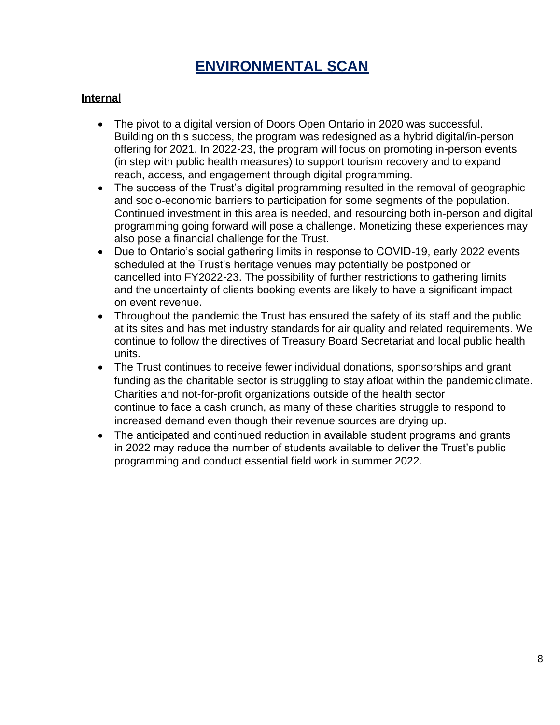# **ENVIRONMENTAL SCAN**

# <span id="page-9-0"></span>**Internal**

- The pivot to a digital version of Doors Open Ontario in 2020 was successful. Building on this success, the program was redesigned as a hybrid digital/in-person offering for 2021. In 2022-23, the program will focus on promoting in-person events (in step with public health measures) to support tourism recovery and to expand reach, access, and engagement through digital programming.
- The success of the Trust's digital programming resulted in the removal of geographic and socio-economic barriers to participation for some segments of the population. Continued investment in this area is needed, and resourcing both in-person and digital programming going forward will pose a challenge. Monetizing these experiences may also pose a financial challenge for the Trust.
- Due to Ontario's social gathering limits in response to COVID-19, early 2022 events scheduled at the Trust's heritage venues may potentially be postponed or cancelled into FY2022-23. The possibility of further restrictions to gathering limits and the uncertainty of clients booking events are likely to have a significant impact on event revenue.
- Throughout the pandemic the Trust has ensured the safety of its staff and the public at its sites and has met industry standards for air quality and related requirements. We continue to follow the directives of Treasury Board Secretariat and local public health units.
- The Trust continues to receive fewer individual donations, sponsorships and grant funding as the charitable sector is struggling to stay afloat within the pandemic climate. Charities and not-for-profit organizations outside of the health sector continue to face a cash crunch, as many of these charities struggle to respond to increased demand even though their revenue sources are drying up.
- The anticipated and continued reduction in available student programs and grants in 2022 may reduce the number of students available to deliver the Trust's public programming and conduct essential field work in summer 2022.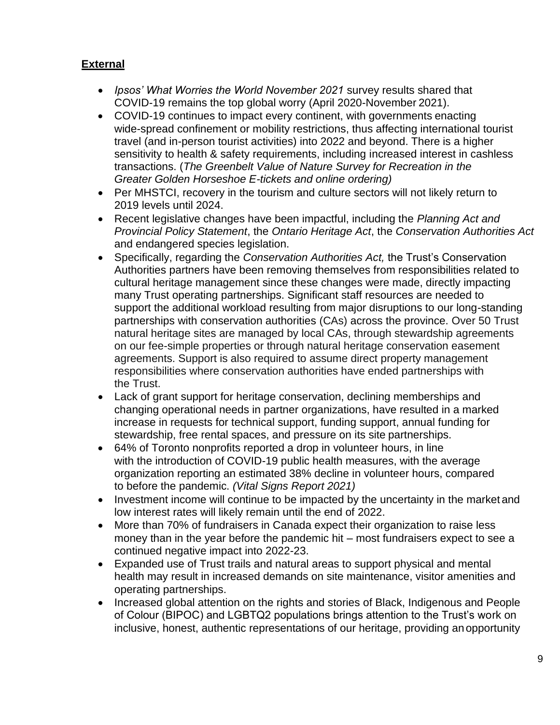# **External**

- *Ipsos' What Worries the World November 2021* survey results shared that COVID-19 remains the top global worry (April 2020-November 2021).
- COVID-19 continues to impact every continent, with governments enacting wide-spread confinement or mobility restrictions, thus affecting international tourist travel (and in-person tourist activities) into 2022 and beyond. There is a higher sensitivity to health & safety requirements, including increased interest in cashless transactions. (*The Greenbelt Value of Nature Survey for Recreation in the Greater Golden Horseshoe E-tickets and online ordering)*
- Per MHSTCI, recovery in the tourism and culture sectors will not likely return to 2019 levels until 2024.
- Recent legislative changes have been impactful, including the *Planning Act and Provincial Policy Statement*, the *Ontario Heritage Act*, the *Conservation Authorities Act*  and endangered species legislation.
- Specifically, regarding the *Conservation Authorities Act,* the Trust's Conservation Authorities partners have been removing themselves from responsibilities related to cultural heritage management since these changes were made, directly impacting many Trust operating partnerships. Significant staff resources are needed to support the additional workload resulting from major disruptions to our long-standing partnerships with conservation authorities (CAs) across the province. Over 50 Trust natural heritage sites are managed by local CAs, through stewardship agreements on our fee-simple properties or through natural heritage conservation easement agreements. Support is also required to assume direct property management responsibilities where conservation authorities have ended partnerships with the Trust.
- Lack of grant support for heritage conservation, declining memberships and changing operational needs in partner organizations, have resulted in a marked increase in requests for technical support, funding support, annual funding for stewardship, free rental spaces, and pressure on its site partnerships.
- 64% of Toronto nonprofits reported a drop in volunteer hours, in line with the introduction of COVID-19 public health measures, with the average organization reporting an estimated 38% decline in volunteer hours, compared to before the pandemic. *(Vital Signs Report 2021)*
- Investment income will continue to be impacted by the uncertainty in the market and low interest rates will likely remain until the end of 2022.
- More than 70% of fundraisers in Canada expect their organization to raise less money than in the year before the pandemic hit – most fundraisers expect to see a continued negative impact into 2022-23.
- Expanded use of Trust trails and natural areas to support physical and mental health may result in increased demands on site maintenance, visitor amenities and operating partnerships.
- Increased global attention on the rights and stories of Black, Indigenous and People of Colour (BIPOC) and LGBTQ2 populations brings attention to the Trust's work on inclusive, honest, authentic representations of our heritage, providing anopportunity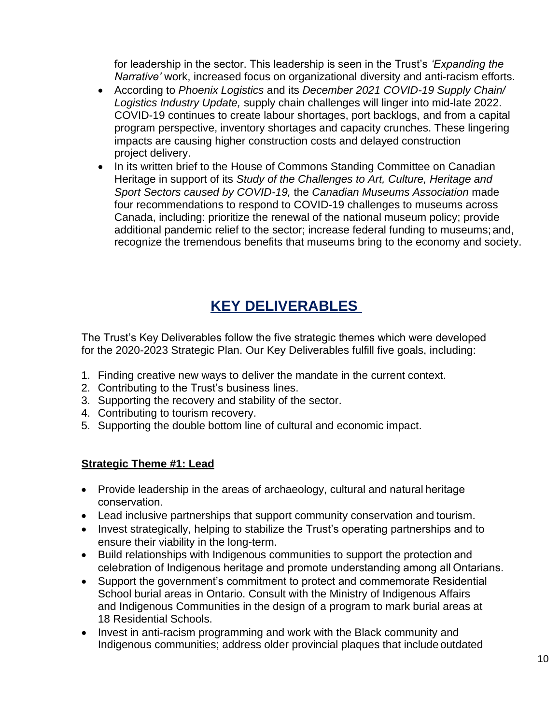for leadership in the sector. This leadership is seen in the Trust's *'Expanding the Narrative'* work, increased focus on organizational diversity and anti-racism efforts.

- According to *Phoenix Logistics* and its *December 2021 COVID-19 Supply Chain/ Logistics Industry Update,* supply chain challenges will linger into mid-late 2022. COVID-19 continues to create labour shortages, port backlogs, and from a capital program perspective, inventory shortages and capacity crunches. These lingering impacts are causing higher construction costs and delayed construction project delivery.
- In its written brief to the House of Commons Standing Committee on Canadian Heritage in support of its *Study of the Challenges to Art, Culture, Heritage and Sport Sectors caused by COVID-19,* the *Canadian Museums Association* made four recommendations to respond to COVID-19 challenges to museums across Canada, including: prioritize the renewal of the national museum policy; provide additional pandemic relief to the sector; increase federal funding to museums; and, recognize the tremendous benefits that museums bring to the economy and society.

# **KEY DELIVERABLES**

<span id="page-11-0"></span>The Trust's Key Deliverables follow the five strategic themes which were developed for the 2020-2023 Strategic Plan. Our Key Deliverables fulfill five goals, including:

- 1. Finding creative new ways to deliver the mandate in the current context.
- 2. Contributing to the Trust's business lines.
- 3. Supporting the recovery and stability of the sector.
- 4. Contributing to tourism recovery.
- 5. Supporting the double bottom line of cultural and economic impact.

# **Strategic Theme #1: Lead**

- Provide leadership in the areas of archaeology, cultural and natural heritage conservation.
- Lead inclusive partnerships that support community conservation and tourism.
- Invest strategically, helping to stabilize the Trust's operating partnerships and to ensure their viability in the long-term.
- Build relationships with Indigenous communities to support the protection and celebration of Indigenous heritage and promote understanding among all Ontarians.
- Support the government's commitment to protect and commemorate Residential School burial areas in Ontario. Consult with the Ministry of Indigenous Affairs and Indigenous Communities in the design of a program to mark burial areas at 18 Residential Schools.
- Invest in anti-racism programming and work with the Black community and Indigenous communities; address older provincial plaques that include outdated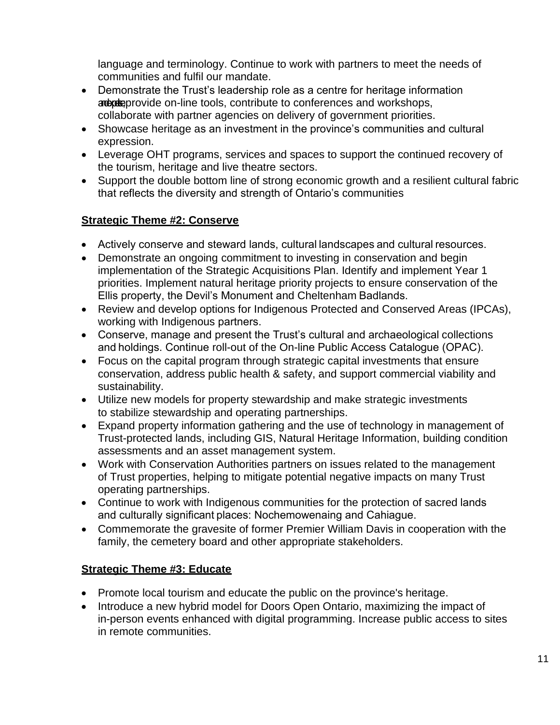language and terminology. Continue to work with partners to meet the needs of communities and fulfil our mandate.

- Demonstrate the Trust's leadership role as a centre for heritage information and and and workshops, contribute to conferences and workshops, collaborate with partner agencies on delivery of government priorities.
- Showcase heritage as an investment in the province's communities and cultural expression.
- Leverage OHT programs, services and spaces to support the continued recovery of the tourism, heritage and live theatre sectors.
- Support the double bottom line of strong economic growth and a resilient cultural fabric that reflects the diversity and strength of Ontario's communities

# **Strategic Theme #2: Conserve**

- Actively conserve and steward lands, cultural landscapes and cultural resources.
- Demonstrate an ongoing commitment to investing in conservation and begin implementation of the Strategic Acquisitions Plan. Identify and implement Year 1 priorities. Implement natural heritage priority projects to ensure conservation of the Ellis property, the Devil's Monument and Cheltenham Badlands.
- Review and develop options for Indigenous Protected and Conserved Areas (IPCAs), working with Indigenous partners.
- Conserve, manage and present the Trust's cultural and archaeological collections and holdings. Continue roll-out of the On-line Public Access Catalogue (OPAC).
- Focus on the capital program through strategic capital investments that ensure conservation, address public health & safety, and support commercial viability and sustainability.
- Utilize new models for property stewardship and make strategic investments to stabilize stewardship and operating partnerships.
- Expand property information gathering and the use of technology in management of Trust-protected lands, including GIS, Natural Heritage Information, building condition assessments and an asset management system.
- Work with Conservation Authorities partners on issues related to the management of Trust properties, helping to mitigate potential negative impacts on many Trust operating partnerships.
- Continue to work with Indigenous communities for the protection of sacred lands  and culturally significant places: Nochemowenaing and Cahiague.
- Commemorate the gravesite of former Premier William Davis in cooperation with the family, the cemetery board and other appropriate stakeholders.

# **Strategic Theme #3: Educate**

- Promote local tourism and educate the public on the province's heritage.
- Introduce a new hybrid model for Doors Open Ontario, maximizing the impact of in-person events enhanced with digital programming. Increase public access to sites in remote communities.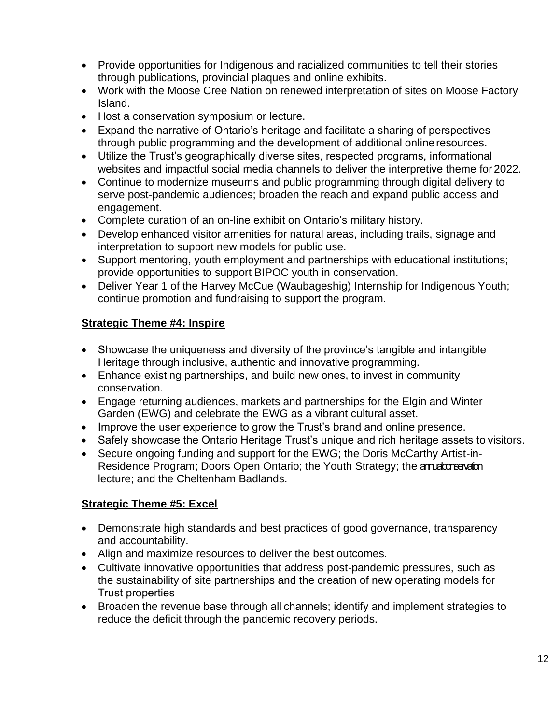- Provide opportunities for Indigenous and racialized communities to tell their stories through publications, provincial plaques and online exhibits.
- Work with the Moose Cree Nation on renewed interpretation of sites on Moose Factory Island.
- Host a conservation symposium or lecture.
- Expand the narrative of Ontario's heritage and facilitate a sharing of perspectives through public programming and the development of additional onlineresources.
- Utilize the Trust's geographically diverse sites, respected programs, informational websites and impactful social media channels to deliver the interpretive theme for 2022.
- Continue to modernize museums and public programming through digital delivery to serve post-pandemic audiences; broaden the reach and expand public access and engagement.
- Complete curation of an on-line exhibit on Ontario's military history.
- Develop enhanced visitor amenities for natural areas, including trails, signage and interpretation to support new models for public use.
- Support mentoring, youth employment and partnerships with educational institutions; provide opportunities to support BIPOC youth in conservation.
- Deliver Year 1 of the Harvey McCue (Waubageshig) Internship for Indigenous Youth; continue promotion and fundraising to support the program.

# **Strategic Theme #4: Inspire**

- Showcase the uniqueness and diversity of the province's tangible and intangible Heritage through inclusive, authentic and innovative programming.
- Enhance existing partnerships, and build new ones, to invest in community conservation.
- Engage returning audiences, markets and partnerships for the Elgin and Winter Garden (EWG) and celebrate the EWG as a vibrant cultural asset.
- Improve the user experience to grow the Trust's brand and online presence.
- Safely showcase the Ontario Heritage Trust's unique and rich heritage assets to visitors.
- Secure ongoing funding and support for the EWG; the Doris McCarthy Artist-in-Residence Program; Doors Open Ontario; the Youth Strategy; the annual conservation lecture; and the Cheltenham Badlands.

# **Strategic Theme #5: Excel**

- Demonstrate high standards and best practices of good governance, transparency and accountability.
- Align and maximize resources to deliver the best outcomes.
- Cultivate innovative opportunities that address post-pandemic pressures, such as the sustainability of site partnerships and the creation of new operating models for Trust properties
- Broaden the revenue base through all channels; identify and implement strategies to reduce the deficit through the pandemic recovery periods.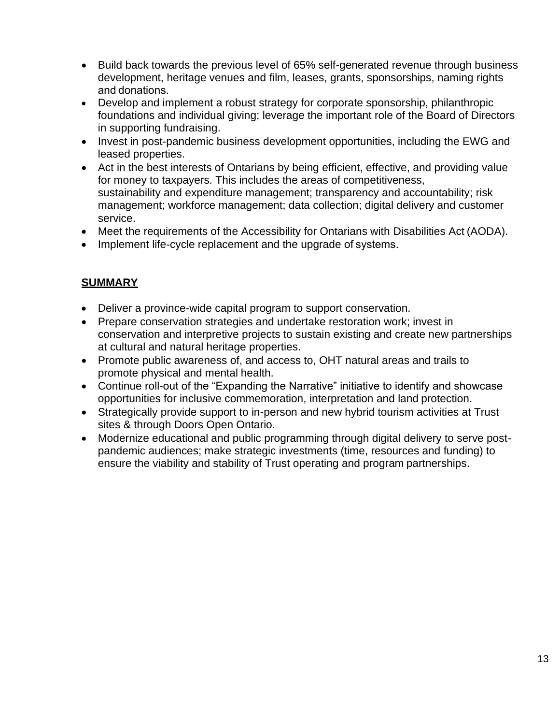- Build back towards the previous level of 65% self-generated revenue through business development, heritage venues and film, leases, grants, sponsorships, naming rights and donations.
- Develop and implement a robust strategy for corporate sponsorship, philanthropic foundations and individual giving; leverage the important role of the Board of Directors in supporting fundraising.
- Invest in post-pandemic business development opportunities, including the EWG and leased properties.
- Act in the best interests of Ontarians by being efficient, effective, and providing value for money to taxpayers. This includes the areas of competitiveness, sustainability and expenditure management; transparency and accountability; risk management; workforce management; data collection; digital delivery and customer service.
- Meet the requirements of the Accessibility for Ontarians with Disabilities Act (AODA).
- Implement life-cycle replacement and the upgrade of systems.

# **SUMMARY**

- Deliver a province-wide capital program to support conservation.
- Prepare conservation strategies and undertake restoration work; invest in conservation and interpretive projects to sustain existing and create new partnerships at cultural and natural heritage properties.
- Promote public awareness of, and access to, OHT natural areas and trails to promote physical and mental health.
- Continue roll-out of the "Expanding the Narrative" initiative to identify and showcase opportunities for inclusive commemoration, interpretation and land protection.
- Strategically provide support to in-person and new hybrid tourism activities at Trust sites & through Doors Open Ontario.
- Modernize educational and public programming through digital delivery to serve postpandemic audiences; make strategic investments (time, resources and funding) to ensure the viability and stability of Trust operating and program partnerships.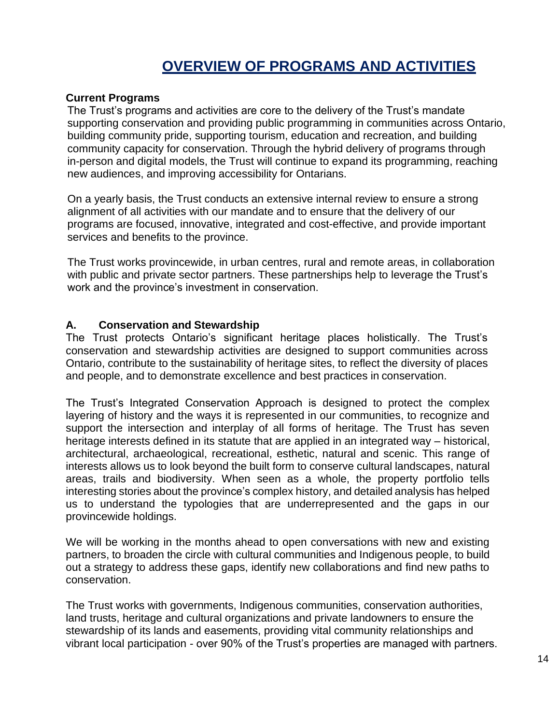# **OVERVIEW OF PROGRAMS AND ACTIVITIES**

#### <span id="page-15-0"></span>**Current Programs**

The Trust's programs and activities are core to the delivery of the Trust's mandate supporting conservation and providing public programming in communities across Ontario, building community pride, supporting tourism, education and recreation, and building community capacity for conservation. Through the hybrid delivery of programs through in-person and digital models, the Trust will continue to expand its programming, reaching new audiences, and improving accessibility for Ontarians.

On a yearly basis, the Trust conducts an extensive internal review to ensure a strong alignment of all activities with our mandate and to ensure that the delivery of our programs are focused, innovative, integrated and cost-effective, and provide important services and benefits to the province.

The Trust works provincewide, in urban centres, rural and remote areas, in collaboration with public and private sector partners. These partnerships help to leverage the Trust's work and the province's investment in conservation.

#### **A. Conservation and Stewardship**

The Trust protects Ontario's significant heritage places holistically. The Trust's conservation and stewardship activities are designed to support communities across Ontario, contribute to the sustainability of heritage sites, to reflect the diversity of places and people, and to demonstrate excellence and best practices in conservation.

The Trust's Integrated Conservation Approach is designed to protect the complex layering of history and the ways it is represented in our communities, to recognize and support the intersection and interplay of all forms of heritage. The Trust has seven heritage interests defined in its statute that are applied in an integrated way – historical, architectural, archaeological, recreational, esthetic, natural and scenic. This range of interests allows us to look beyond the built form to conserve cultural landscapes, natural areas, trails and biodiversity. When seen as a whole, the property portfolio tells interesting stories about the province's complex history, and detailed analysis has helped us to understand the typologies that are underrepresented and the gaps in our provincewide holdings.

We will be working in the months ahead to open conversations with new and existing partners, to broaden the circle with cultural communities and Indigenous people, to build out a strategy to address these gaps, identify new collaborations and find new paths to conservation.

The Trust works with governments, Indigenous communities, conservation authorities, land trusts, heritage and cultural organizations and private landowners to ensure the stewardship of its lands and easements, providing vital community relationships and vibrant local participation - over 90% of the Trust's properties are managed with partners.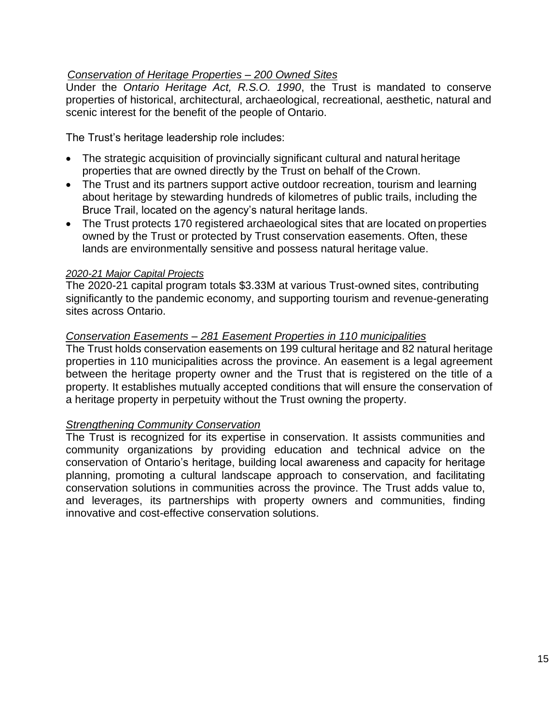# *Conservation of Heritage Properties – 200 Owned Sites*

Under the *Ontario Heritage Act, R.S.O. 1990*, the Trust is mandated to conserve properties of historical, architectural, archaeological, recreational, aesthetic, natural and scenic interest for the benefit of the people of Ontario.

The Trust's heritage leadership role includes:

- The strategic acquisition of provincially significant cultural and natural heritage properties that are owned directly by the Trust on behalf of the Crown.
- The Trust and its partners support active outdoor recreation, tourism and learning about heritage by stewarding hundreds of kilometres of public trails, including the Bruce Trail, located on the agency's natural heritage lands.
- The Trust protects 170 registered archaeological sites that are located on properties owned by the Trust or protected by Trust conservation easements. Often, these lands are environmentally sensitive and possess natural heritage value.

#### *2020-21 Major Capital Projects*

The 2020-21 capital program totals \$3.33M at various Trust-owned sites, contributing significantly to the pandemic economy, and supporting tourism and revenue-generating sites across Ontario.

#### *Conservation Easements – 281 Easement Properties in 110 municipalities*

The Trust holds conservation easements on 199 cultural heritage and 82 natural heritage properties in 110 municipalities across the province. An easement is a legal agreement between the heritage property owner and the Trust that is registered on the title of a property. It establishes mutually accepted conditions that will ensure the conservation of a heritage property in perpetuity without the Trust owning the property.

#### *Strengthening Community Conservation*

The Trust is recognized for its expertise in conservation. It assists communities and community organizations by providing education and technical advice on the conservation of Ontario's heritage, building local awareness and capacity for heritage planning, promoting a cultural landscape approach to conservation, and facilitating conservation solutions in communities across the province. The Trust adds value to, and leverages, its partnerships with property owners and communities, finding innovative and cost-effective conservation solutions.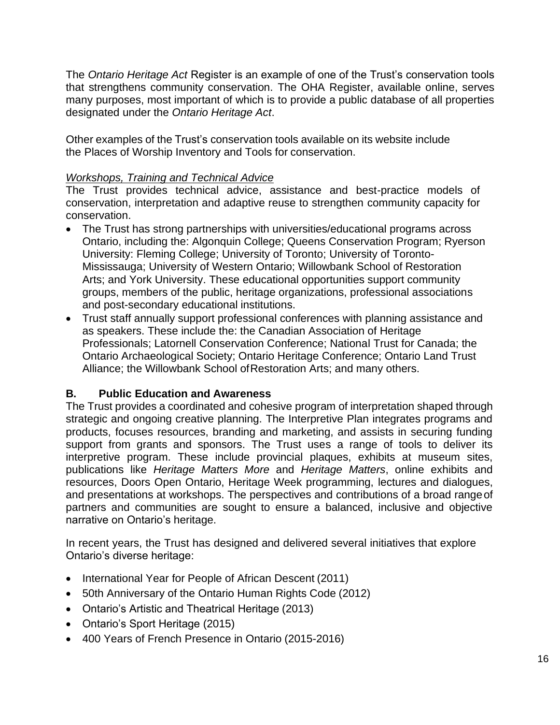The *Ontario Heritage Act* Register is an example of one of the Trust's conservation tools that strengthens community conservation. The OHA Register, available online, serves many purposes, most important of which is to provide a public database of all properties designated under the *Ontario Heritage Act*.

Other examples of the Trust's conservation tools available on its website include the Places of Worship Inventory and Tools for conservation.

#### *Workshops, Training and Technical Advice*

The Trust provides technical advice, assistance and best-practice models of conservation, interpretation and adaptive reuse to strengthen community capacity for conservation.

- The Trust has strong partnerships with universities/educational programs across Ontario, including the: Algonquin College; Queens Conservation Program; Ryerson University: Fleming College; University of Toronto; University of Toronto-Mississauga; University of Western Ontario; Willowbank School of Restoration Arts; and York University. These educational opportunities support community groups, members of the public, heritage organizations, professional associations and post-secondary educational institutions.
- Trust staff annually support professional conferences with planning assistance and as speakers. These include the: the Canadian Association of Heritage Professionals; Latornell Conservation Conference; National Trust for Canada; the Ontario Archaeological Society; Ontario Heritage Conference; Ontario Land Trust Alliance; the Willowbank School ofRestoration Arts; and many others.

#### **B. Public Education and Awareness**

The Trust provides a coordinated and cohesive program of interpretation shaped through strategic and ongoing creative planning. The Interpretive Plan integrates programs and products, focuses resources, branding and marketing, and assists in securing funding support from grants and sponsors. The Trust uses a range of tools to deliver its interpretive program. These include provincial plaques, exhibits at museum sites, publications like *Heritage Mat*te*rs More* and *Heritage Matters*, online exhibits and resources, Doors Open Ontario, Heritage Week programming, lectures and dialogues, and presentations at workshops. The perspectives and contributions of a broad rangeof partners and communities are sought to ensure a balanced, inclusive and objective narrative on Ontario's heritage.

In recent years, the Trust has designed and delivered several initiatives that explore Ontario's diverse heritage:

- International Year for People of African Descent (2011)
- 50th Anniversary of the Ontario Human Rights Code (2012)
- Ontario's Artistic and Theatrical Heritage (2013)
- Ontario's Sport Heritage (2015)
- 400 Years of French Presence in Ontario (2015-2016)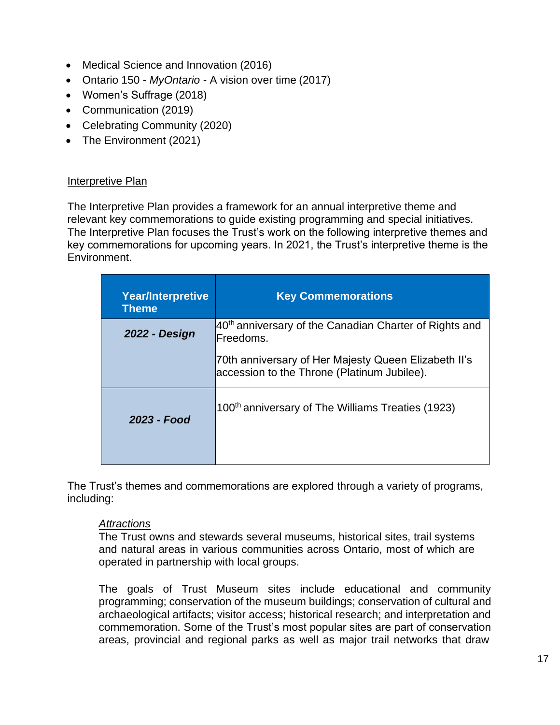- Medical Science and Innovation (2016)
- Ontario 150 *MyOntario*  A vision over time (2017)
- Women's Suffrage (2018)
- Communication (2019)
- Celebrating Community (2020)
- The Environment (2021)

#### Interpretive Plan

The Interpretive Plan provides a framework for an annual interpretive theme and relevant key commemorations to guide existing programming and special initiatives. The Interpretive Plan focuses the Trust's work on the following interpretive themes and key commemorations for upcoming years. In 2021, the Trust's interpretive theme is the Environment.

| <b>Year/Interpretive</b><br><b>Theme</b> | <b>Key Commemorations</b>                                                                           |
|------------------------------------------|-----------------------------------------------------------------------------------------------------|
| 2022 - Design                            | 40 <sup>th</sup> anniversary of the Canadian Charter of Rights and<br>Freedoms.                     |
|                                          | 70th anniversary of Her Majesty Queen Elizabeth II's<br>accession to the Throne (Platinum Jubilee). |
| 2023 - Food                              | 100 <sup>th</sup> anniversary of The Williams Treaties (1923)                                       |

The Trust's themes and commemorations are explored through a variety of programs, including:

#### *Attractions*

The Trust owns and stewards several museums, historical sites, trail systems and natural areas in various communities across Ontario, most of which are operated in partnership with local groups.

The goals of Trust Museum sites include educational and community programming; conservation of the museum buildings; conservation of cultural and archaeological artifacts; visitor access; historical research; and interpretation and commemoration. Some of the Trust's most popular sites are part of conservation areas, provincial and regional parks as well as major trail networks that draw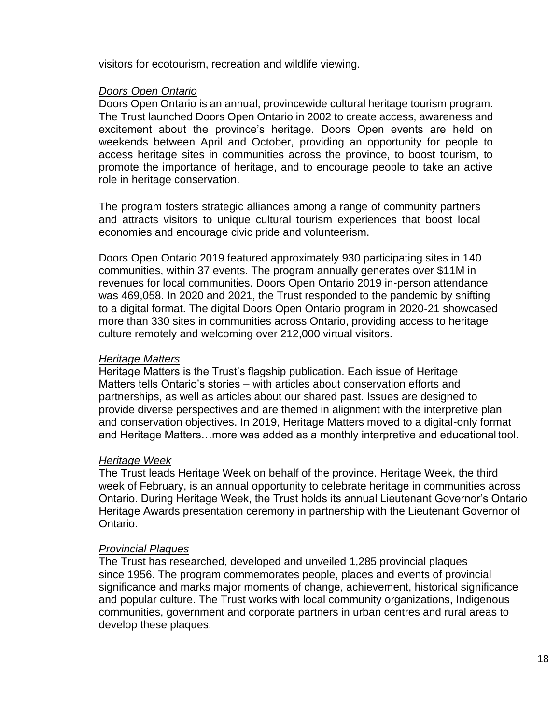visitors for ecotourism, recreation and wildlife viewing.

#### *Doors Open Ontario*

Doors Open Ontario is an annual, provincewide cultural heritage tourism program. The Trust launched Doors Open Ontario in 2002 to create access, awareness and excitement about the province's heritage. Doors Open events are held on weekends between April and October, providing an opportunity for people to access heritage sites in communities across the province, to boost tourism, to promote the importance of heritage, and to encourage people to take an active role in heritage conservation.

The program fosters strategic alliances among a range of community partners and attracts visitors to unique cultural tourism experiences that boost local economies and encourage civic pride and volunteerism.

Doors Open Ontario 2019 featured approximately 930 participating sites in 140 communities, within 37 events. The program annually generates over \$11M in revenues for local communities. Doors Open Ontario 2019 in-person attendance was 469,058. In 2020 and 2021, the Trust responded to the pandemic by shifting to a digital format. The digital Doors Open Ontario program in 2020-21 showcased more than 330 sites in communities across Ontario, providing access to heritage culture remotely and welcoming over 212,000 virtual visitors.

#### *Heritage Matters*

Heritage Matters is the Trust's flagship publication. Each issue of Heritage Matters tells Ontario's stories – with articles about conservation efforts and partnerships, as well as articles about our shared past. Issues are designed to provide diverse perspectives and are themed in alignment with the interpretive plan and conservation objectives. In 2019, Heritage Matters moved to a digital-only format and Heritage Matters…more was added as a monthly interpretive and educational tool.

#### *Heritage Week*

The Trust leads Heritage Week on behalf of the province. Heritage Week, the third week of February, is an annual opportunity to celebrate heritage in communities across Ontario. During Heritage Week, the Trust holds its annual Lieutenant Governor's Ontario Heritage Awards presentation ceremony in partnership with the Lieutenant Governor of Ontario.

#### *Provincial Plaques*

The Trust has researched, developed and unveiled 1,285 provincial plaques since 1956. The program commemorates people, places and events of provincial significance and marks major moments of change, achievement, historical significance and popular culture. The Trust works with local community organizations, Indigenous communities, government and corporate partners in urban centres and rural areas to develop these plaques.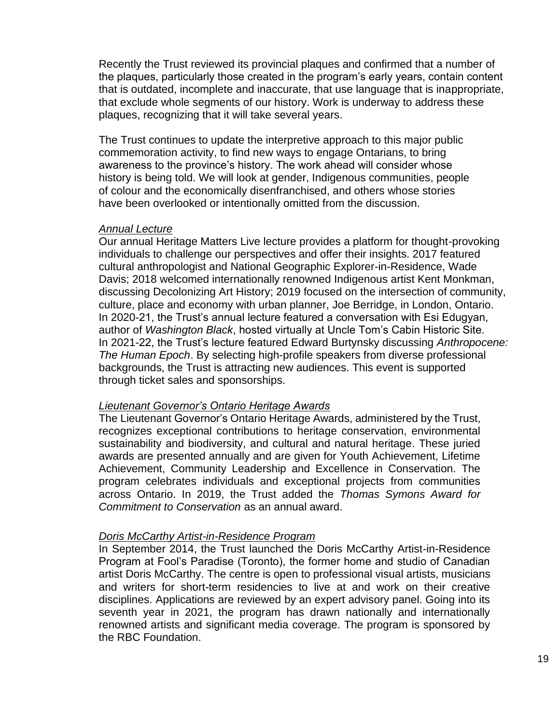Recently the Trust reviewed its provincial plaques and confirmed that a number of the plaques, particularly those created in the program's early years, contain content that is outdated, incomplete and inaccurate, that use language that is inappropriate, that exclude whole segments of our history. Work is underway to address these plaques, recognizing that it will take several years.

The Trust continues to update the interpretive approach to this major public commemoration activity, to find new ways to engage Ontarians, to bring awareness to the province's history. The work ahead will consider whose history is being told. We will look at gender, Indigenous communities, people of colour and the economically disenfranchised, and others whose stories have been overlooked or intentionally omitted from the discussion.

#### *Annual Lecture*

Our annual Heritage Matters Live lecture provides a platform for thought-provoking individuals to challenge our perspectives and offer their insights. 2017 featured cultural anthropologist and National Geographic Explorer-in-Residence, Wade Davis; 2018 welcomed internationally renowned Indigenous artist Kent Monkman, discussing Decolonizing Art History; 2019 focused on the intersection of community, culture, place and economy with urban planner, Joe Berridge, in London, Ontario. In 2020-21, the Trust's annual lecture featured a conversation with Esi Edugyan, author of *Washington Black*, hosted virtually at Uncle Tom's Cabin Historic Site. In 2021-22, the Trust's lecture featured Edward Burtynsky discussing *Anthropocene: The Human Epoch*. By selecting high-profile speakers from diverse professional backgrounds, the Trust is attracting new audiences. This event is supported through ticket sales and sponsorships.

#### *Lieutenant Governor's Ontario Heritage Awards*

The Lieutenant Governor's Ontario Heritage Awards, administered by the Trust, recognizes exceptional contributions to heritage conservation, environmental sustainability and biodiversity, and cultural and natural heritage. These juried awards are presented annually and are given for Youth Achievement, Lifetime Achievement, Community Leadership and Excellence in Conservation. The program celebrates individuals and exceptional projects from communities across Ontario. In 2019, the Trust added the *Thomas Symons Award for Commitment to Conservation* as an annual award.

#### *Doris McCarthy Artist-in-Residence Program*

In September 2014, the Trust launched the Doris McCarthy Artist-in-Residence Program at Fool's Paradise (Toronto), the former home and studio of Canadian artist Doris McCarthy. The centre is open to professional visual artists, musicians and writers for short-term residencies to live at and work on their creative disciplines. Applications are reviewed by an expert advisory panel. Going into its seventh year in 2021, the program has drawn nationally and internationally renowned artists and significant media coverage. The program is sponsored by the RBC Foundation.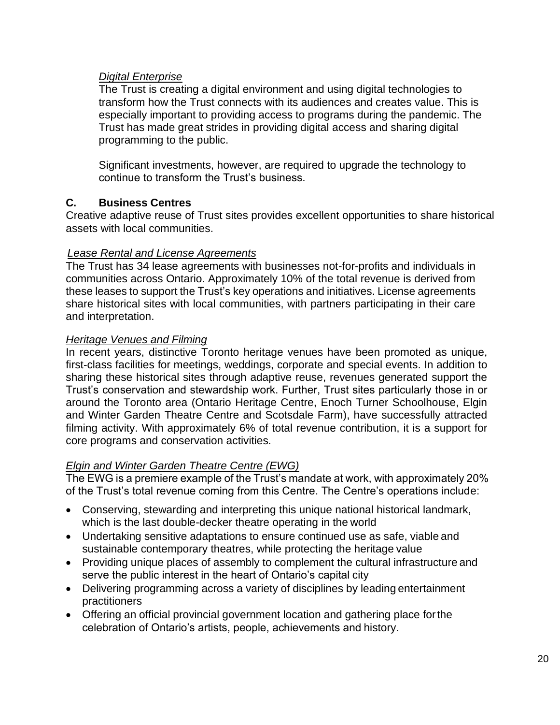#### *Digital Enterprise*

The Trust is creating a digital environment and using digital technologies to transform how the Trust connects with its audiences and creates value. This is especially important to providing access to programs during the pandemic. The Trust has made great strides in providing digital access and sharing digital programming to the public.

Significant investments, however, are required to upgrade the technology to continue to transform the Trust's business.

#### **C. Business Centres**

Creative adaptive reuse of Trust sites provides excellent opportunities to share historical assets with local communities.

#### *Lease Rental and License Agreements*

The Trust has 34 lease agreements with businesses not-for-profits and individuals in communities across Ontario. Approximately 10% of the total revenue is derived from these leases to support the Trust's key operations and initiatives. License agreements share historical sites with local communities, with partners participating in their care and interpretation.

#### *Heritage Venues and Filming*

In recent years, distinctive Toronto heritage venues have been promoted as unique, first-class facilities for meetings, weddings, corporate and special events. In addition to sharing these historical sites through adaptive reuse, revenues generated support the Trust's conservation and stewardship work. Further, Trust sites particularly those in or around the Toronto area (Ontario Heritage Centre, Enoch Turner Schoolhouse, Elgin and Winter Garden Theatre Centre and Scotsdale Farm), have successfully attracted filming activity. With approximately 6% of total revenue contribution, it is a support for core programs and conservation activities.

#### *Elgin and Winter Garden Theatre Centre (EWG)*

The EWG is a premiere example of the Trust's mandate at work, with approximately 20% of the Trust's total revenue coming from this Centre. The Centre's operations include:

- Conserving, stewarding and interpreting this unique national historical landmark, which is the last double-decker theatre operating in the world
- Undertaking sensitive adaptations to ensure continued use as safe, viable and sustainable contemporary theatres, while protecting the heritage value
- Providing unique places of assembly to complement the cultural infrastructure and serve the public interest in the heart of Ontario's capital city
- Delivering programming across a variety of disciplines by leading entertainment practitioners
- Offering an official provincial government location and gathering place forthe celebration of Ontario's artists, people, achievements and history.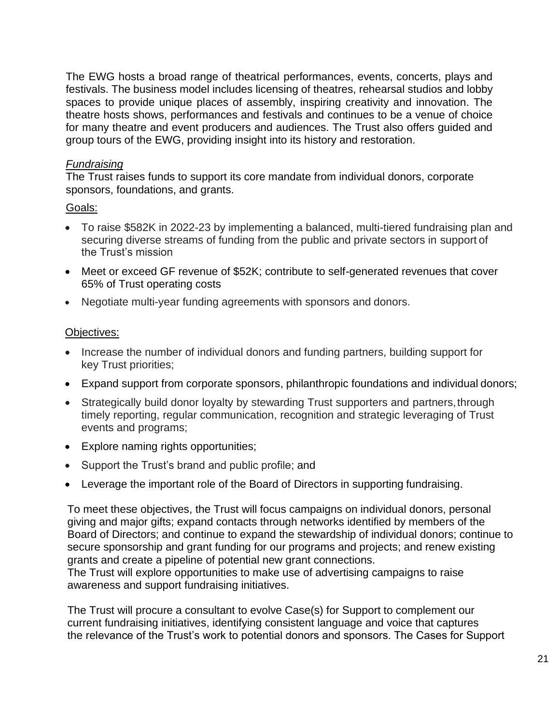The EWG hosts a broad range of theatrical performances, events, concerts, plays and festivals. The business model includes licensing of theatres, rehearsal studios and lobby spaces to provide unique places of assembly, inspiring creativity and innovation. The theatre hosts shows, performances and festivals and continues to be a venue of choice for many theatre and event producers and audiences. The Trust also offers guided and group tours of the EWG, providing insight into its history and restoration.

#### *Fundraising*

The Trust raises funds to support its core mandate from individual donors, corporate sponsors, foundations, and grants.

# Goals:

- To raise \$582K in 2022-23 by implementing a balanced, multi-tiered fundraising plan and securing diverse streams of funding from the public and private sectors in support of the Trust's mission
- Meet or exceed GF revenue of \$52K; contribute to self-generated revenues that cover 65% of Trust operating costs
- Negotiate multi-year funding agreements with sponsors and donors.

#### Objectives:

- Increase the number of individual donors and funding partners, building support for key Trust priorities;
- Expand support from corporate sponsors, philanthropic foundations and individual donors;
- Strategically build donor loyalty by stewarding Trust supporters and partners, through timely reporting, regular communication, recognition and strategic leveraging of Trust events and programs;
- Explore naming rights opportunities;
- Support the Trust's brand and public profile; and
- Leverage the important role of the Board of Directors in supporting fundraising.

To meet these objectives, the Trust will focus campaigns on individual donors, personal giving and major gifts; expand contacts through networks identified by members of the Board of Directors; and continue to expand the stewardship of individual donors; continue to secure sponsorship and grant funding for our programs and projects; and renew existing grants and create a pipeline of potential new grant connections.

The Trust will explore opportunities to make use of advertising campaigns to raise awareness and support fundraising initiatives.

The Trust will procure a consultant to evolve Case(s) for Support to complement our current fundraising initiatives, identifying consistent language and voice that captures the relevance of the Trust's work to potential donors and sponsors. The Cases for Support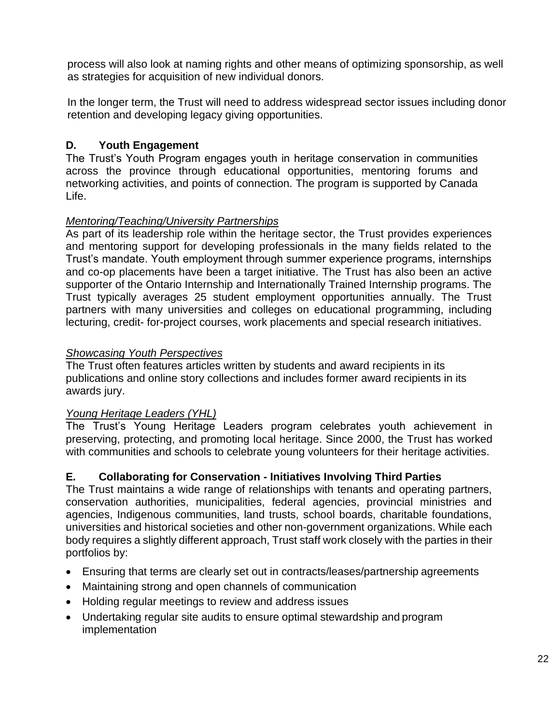process will also look at naming rights and other means of optimizing sponsorship, as well as strategies for acquisition of new individual donors.

In the longer term, the Trust will need to address widespread sector issues including donor retention and developing legacy giving opportunities.

# **D. Youth Engagement**

The Trust's Youth Program engages youth in heritage conservation in communities across the province through educational opportunities, mentoring forums and networking activities, and points of connection. The program is supported by Canada Life.

# *Mentoring/Teaching/University Partnerships*

As part of its leadership role within the heritage sector, the Trust provides experiences and mentoring support for developing professionals in the many fields related to the Trust's mandate. Youth employment through summer experience programs, internships and co-op placements have been a target initiative. The Trust has also been an active supporter of the Ontario Internship and Internationally Trained Internship programs. The Trust typically averages 25 student employment opportunities annually. The Trust partners with many universities and colleges on educational programming, including lecturing, credit- for-project courses, work placements and special research initiatives.

# *Showcasing Youth Perspectives*

The Trust often features articles written by students and award recipients in its publications and online story collections and includes former award recipients in its awards jury.

# *Young Heritage Leaders (YHL)*

The Trust's Young Heritage Leaders program celebrates youth achievement in preserving, protecting, and promoting local heritage. Since 2000, the Trust has worked with communities and schools to celebrate young volunteers for their heritage activities.

# **E. Collaborating for Conservation - Initiatives Involving Third Parties**

The Trust maintains a wide range of relationships with tenants and operating partners, conservation authorities, municipalities, federal agencies, provincial ministries and agencies, Indigenous communities, land trusts, school boards, charitable foundations, universities and historical societies and other non-government organizations. While each body requires a slightly different approach, Trust staff work closely with the parties in their portfolios by:

- Ensuring that terms are clearly set out in contracts/leases/partnership agreements
- Maintaining strong and open channels of communication
- Holding regular meetings to review and address issues
- Undertaking regular site audits to ensure optimal stewardship and program implementation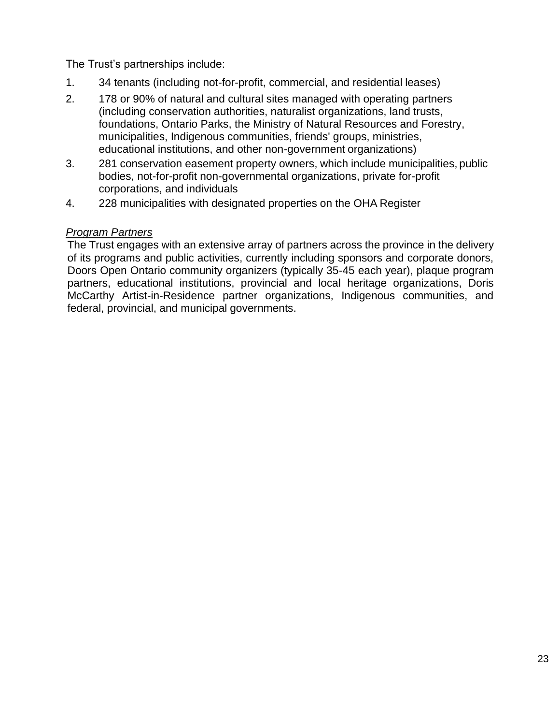The Trust's partnerships include:

- 1. 34 tenants (including not-for-profit, commercial, and residential leases)
- 2. 178 or 90% of natural and cultural sites managed with operating partners (including conservation authorities, naturalist organizations, land trusts, foundations, Ontario Parks, the Ministry of Natural Resources and Forestry, municipalities, Indigenous communities, friends' groups, ministries, educational institutions, and other non-government organizations)
- 3. 281 conservation easement property owners, which include municipalities, public bodies, not-for-profit non-governmental organizations, private for-profit corporations, and individuals
- 4. 228 municipalities with designated properties on the OHA Register

#### *Program Partners*

The Trust engages with an extensive array of partners across the province in the delivery of its programs and public activities, currently including sponsors and corporate donors, Doors Open Ontario community organizers (typically 35-45 each year), plaque program partners, educational institutions, provincial and local heritage organizations, Doris McCarthy Artist-in-Residence partner organizations, Indigenous communities, and federal, provincial, and municipal governments.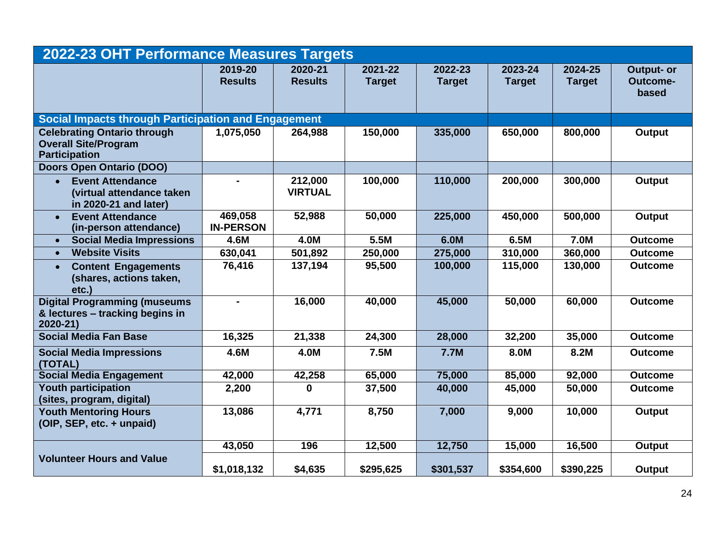| 2022-23 OHT Performance Measures Targets                                                   |                             |                           |                          |                          |                          |                          |                                        |  |
|--------------------------------------------------------------------------------------------|-----------------------------|---------------------------|--------------------------|--------------------------|--------------------------|--------------------------|----------------------------------------|--|
|                                                                                            | 2019-20<br><b>Results</b>   | 2020-21<br><b>Results</b> | 2021-22<br><b>Target</b> | 2022-23<br><b>Target</b> | 2023-24<br><b>Target</b> | 2024-25<br><b>Target</b> | Output- or<br><b>Outcome-</b><br>based |  |
| <b>Social Impacts through Participation and Engagement</b>                                 |                             |                           |                          |                          |                          |                          |                                        |  |
| <b>Celebrating Ontario through</b><br><b>Overall Site/Program</b><br><b>Participation</b>  | 1,075,050                   | 264,988                   | 150,000                  | 335,000                  | 650,000                  | 800,000                  | Output                                 |  |
| <b>Doors Open Ontario (DOO)</b>                                                            |                             |                           |                          |                          |                          |                          |                                        |  |
| <b>Event Attendance</b><br>$\bullet$<br>(virtual attendance taken<br>in 2020-21 and later) | $\blacksquare$              | 212,000<br><b>VIRTUAL</b> | 100,000                  | 110,000                  | 200,000                  | 300,000                  | Output                                 |  |
| <b>Event Attendance</b><br>$\bullet$<br>(in-person attendance)                             | 469,058<br><b>IN-PERSON</b> | 52,988                    | 50,000                   | 225,000                  | 450,000                  | 500,000                  | Output                                 |  |
| <b>Social Media Impressions</b><br>$\bullet$                                               | 4.6M                        | 4.0M                      | 5.5M                     | 6.0M                     | 6.5M                     | 7.0M                     | <b>Outcome</b>                         |  |
| <b>Website Visits</b><br>$\bullet$                                                         | 630,041                     | 501,892                   | 250,000                  | 275,000                  | 310,000                  | 360,000                  | <b>Outcome</b>                         |  |
| <b>Content Engagements</b><br>$\bullet$<br>(shares, actions taken,<br>etc.)                | 76,416                      | 137,194                   | 95,500                   | 100,000                  | 115,000                  | 130,000                  | <b>Outcome</b>                         |  |
| <b>Digital Programming (museums</b><br>& lectures - tracking begins in<br>2020-21)         | $\blacksquare$              | 16,000                    | 40,000                   | 45,000                   | 50,000                   | 60,000                   | <b>Outcome</b>                         |  |
| <b>Social Media Fan Base</b>                                                               | 16,325                      | 21,338                    | 24,300                   | 28,000                   | 32,200                   | 35,000                   | <b>Outcome</b>                         |  |
| <b>Social Media Impressions</b><br>(TOTAL)                                                 | 4.6M                        | 4.0M                      | 7.5M                     | <b>7.7M</b>              | 8.0M                     | 8.2M                     | <b>Outcome</b>                         |  |
| <b>Social Media Engagement</b>                                                             | 42,000                      | 42,258                    | 65,000                   | 75,000                   | 85,000                   | 92,000                   | <b>Outcome</b>                         |  |
| <b>Youth participation</b><br>(sites, program, digital)                                    | 2,200                       | $\bf{0}$                  | 37,500                   | 40,000                   | 45,000                   | 50,000                   | <b>Outcome</b>                         |  |
| <b>Youth Mentoring Hours</b><br>(OIP, SEP, etc. + unpaid)                                  | 13,086                      | 4,771                     | 8,750                    | 7,000                    | 9,000                    | 10,000                   | Output                                 |  |
|                                                                                            | 43,050                      | 196                       | 12,500                   | 12,750                   | 15,000                   | 16,500                   | <b>Output</b>                          |  |
| <b>Volunteer Hours and Value</b>                                                           | \$1,018,132                 | \$4,635                   | \$295,625                | \$301,537                | \$354,600                | \$390,225                | Output                                 |  |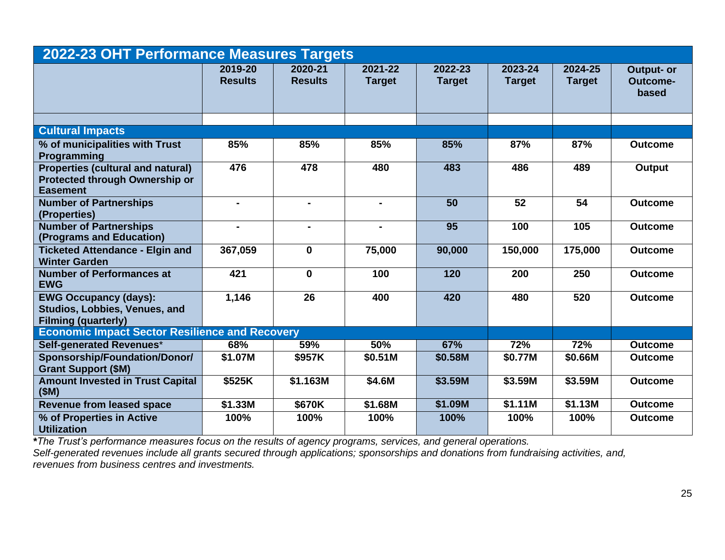| 2022-23 OHT Performance Measures Targets                                                             |                           |                           |                          |                          |                          |                          |                                        |  |
|------------------------------------------------------------------------------------------------------|---------------------------|---------------------------|--------------------------|--------------------------|--------------------------|--------------------------|----------------------------------------|--|
|                                                                                                      | 2019-20<br><b>Results</b> | 2020-21<br><b>Results</b> | 2021-22<br><b>Target</b> | 2022-23<br><b>Target</b> | 2023-24<br><b>Target</b> | 2024-25<br><b>Target</b> | <b>Output- or</b><br>Outcome-<br>based |  |
|                                                                                                      |                           |                           |                          |                          |                          |                          |                                        |  |
| <b>Cultural Impacts</b>                                                                              |                           |                           |                          |                          |                          |                          |                                        |  |
| % of municipalities with Trust<br>Programming                                                        | 85%                       | 85%                       | 85%                      | 85%                      | 87%                      | 87%                      | <b>Outcome</b>                         |  |
| <b>Properties (cultural and natural)</b><br><b>Protected through Ownership or</b><br><b>Easement</b> | 476                       | 478                       | 480                      | 483                      | 486                      | 489                      | <b>Output</b>                          |  |
| <b>Number of Partnerships</b><br>(Properties)                                                        | $\blacksquare$            | $\blacksquare$            | $\blacksquare$           | 50                       | 52                       | 54                       | <b>Outcome</b>                         |  |
| <b>Number of Partnerships</b><br>(Programs and Education)                                            |                           | $\blacksquare$            |                          | $\overline{95}$          | 100                      | 105                      | <b>Outcome</b>                         |  |
| <b>Ticketed Attendance - Elgin and</b><br><b>Winter Garden</b>                                       | 367,059                   | $\mathbf 0$               | 75,000                   | 90,000                   | 150,000                  | 175,000                  | <b>Outcome</b>                         |  |
| <b>Number of Performances at</b><br><b>EWG</b>                                                       | 421                       | $\mathbf 0$               | 100                      | 120                      | 200                      | 250                      | <b>Outcome</b>                         |  |
| <b>EWG Occupancy (days):</b><br>Studios, Lobbies, Venues, and<br><b>Filming (quarterly)</b>          | 1,146                     | 26                        | 400                      | 420                      | 480                      | 520                      | <b>Outcome</b>                         |  |
| <b>Economic Impact Sector Resilience and Recovery</b>                                                |                           |                           |                          |                          |                          |                          |                                        |  |
| <b>Self-generated Revenues*</b>                                                                      | 68%                       | 59%                       | 50%                      | 67%                      | 72%                      | 72%                      | <b>Outcome</b>                         |  |
| Sponsorship/Foundation/Donor/<br><b>Grant Support (\$M)</b>                                          | \$1.07M                   | \$957K                    | \$0.51M                  | \$0.58M                  | \$0.77M                  | \$0.66M                  | <b>Outcome</b>                         |  |
| <b>Amount Invested in Trust Capital</b><br>(SM)                                                      | \$525K                    | \$1.163M                  | \$4.6M                   | \$3.59M                  | \$3.59M                  | \$3.59M                  | <b>Outcome</b>                         |  |
| <b>Revenue from leased space</b>                                                                     | \$1.33M                   | \$670K                    | \$1.68M                  | \$1.09M                  | \$1.11M                  | \$1.13M                  | <b>Outcome</b>                         |  |
| % of Properties in Active<br><b>Utilization</b>                                                      | 100%                      | 100%                      | 100%                     | 100%                     | 100%                     | 100%                     | <b>Outcome</b>                         |  |

*\*The Trust's performance measures focus on the results of agency programs, services, and general operations.*

*Self-generated revenues include all grants secured through applications; sponsorships and donations from fundraising activities, and, revenues from business centres and investments.*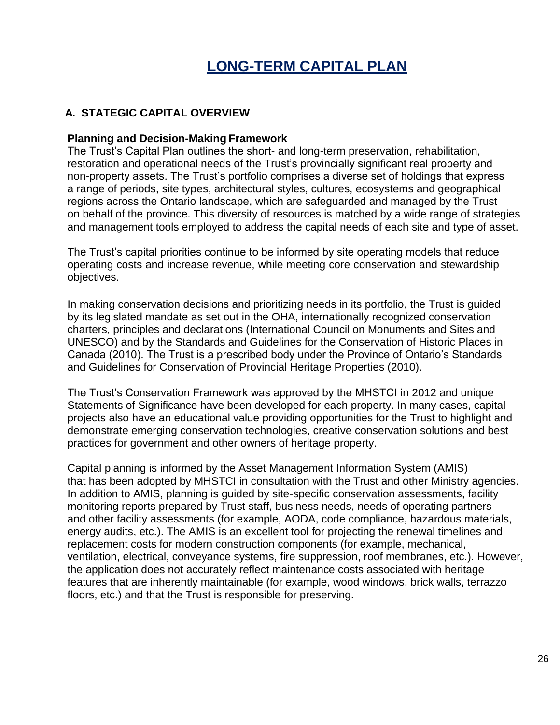# **LONG-TERM CAPITAL PLAN**

## <span id="page-27-0"></span>**A. STATEGIC CAPITAL OVERVIEW**

#### **Planning and Decision-Making Framework**

The Trust's Capital Plan outlines the short- and long-term preservation, rehabilitation, restoration and operational needs of the Trust's provincially significant real property and non-property assets. The Trust's portfolio comprises a diverse set of holdings that express a range of periods, site types, architectural styles, cultures, ecosystems and geographical regions across the Ontario landscape, which are safeguarded and managed by the Trust on behalf of the province. This diversity of resources is matched by a wide range of strategies and management tools employed to address the capital needs of each site and type of asset.

The Trust's capital priorities continue to be informed by site operating models that reduce operating costs and increase revenue, while meeting core conservation and stewardship objectives.

In making conservation decisions and prioritizing needs in its portfolio, the Trust is guided by its legislated mandate as set out in the OHA, internationally recognized conservation charters, principles and declarations (International Council on Monuments and Sites and UNESCO) and by the Standards and Guidelines for the Conservation of Historic Places in Canada (2010). The Trust is a prescribed body under the Province of Ontario's Standards and Guidelines for Conservation of Provincial Heritage Properties (2010).

The Trust's Conservation Framework was approved by the MHSTCI in 2012 and unique Statements of Significance have been developed for each property. In many cases, capital projects also have an educational value providing opportunities for the Trust to highlight and demonstrate emerging conservation technologies, creative conservation solutions and best practices for government and other owners of heritage property.

Capital planning is informed by the Asset Management Information System (AMIS) that has been adopted by MHSTCI in consultation with the Trust and other Ministry agencies. In addition to AMIS, planning is guided by site-specific conservation assessments, facility monitoring reports prepared by Trust staff, business needs, needs of operating partners and other facility assessments (for example, AODA, code compliance, hazardous materials, energy audits, etc.). The AMIS is an excellent tool for projecting the renewal timelines and replacement costs for modern construction components (for example, mechanical, ventilation, electrical, conveyance systems, fire suppression, roof membranes, etc.). However, the application does not accurately reflect maintenance costs associated with heritage features that are inherently maintainable (for example, wood windows, brick walls, terrazzo floors, etc.) and that the Trust is responsible for preserving.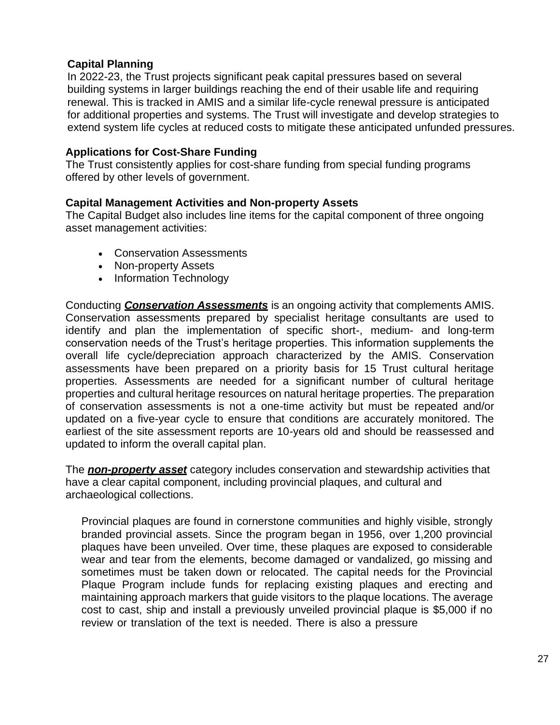# **Capital Planning**

In 2022-23, the Trust projects significant peak capital pressures based on several building systems in larger buildings reaching the end of their usable life and requiring renewal. This is tracked in AMIS and a similar life-cycle renewal pressure is anticipated for additional properties and systems. The Trust will investigate and develop strategies to extend system life cycles at reduced costs to mitigate these anticipated unfunded pressures.

## **Applications for Cost-Share Funding**

The Trust consistently applies for cost-share funding from special funding programs offered by other levels of government.

#### **Capital Management Activities and Non-property Assets**

The Capital Budget also includes line items for the capital component of three ongoing asset management activities:

- Conservation Assessments
- Non-property Assets
- Information Technology

Conducting *Conservation Assessments* is an ongoing activity that complements AMIS. Conservation assessments prepared by specialist heritage consultants are used to identify and plan the implementation of specific short-, medium- and long-term conservation needs of the Trust's heritage properties. This information supplements the overall life cycle/depreciation approach characterized by the AMIS. Conservation assessments have been prepared on a priority basis for 15 Trust cultural heritage properties. Assessments are needed for a significant number of cultural heritage properties and cultural heritage resources on natural heritage properties. The preparation of conservation assessments is not a one-time activity but must be repeated and/or updated on a five-year cycle to ensure that conditions are accurately monitored. The earliest of the site assessment reports are 10-years old and should be reassessed and updated to inform the overall capital plan.

The *non-property asset* category includes conservation and stewardship activities that have a clear capital component, including provincial plaques, and cultural and archaeological collections.

Provincial plaques are found in cornerstone communities and highly visible, strongly branded provincial assets. Since the program began in 1956, over 1,200 provincial plaques have been unveiled. Over time, these plaques are exposed to considerable wear and tear from the elements, become damaged or vandalized, go missing and sometimes must be taken down or relocated. The capital needs for the Provincial Plaque Program include funds for replacing existing plaques and erecting and maintaining approach markers that guide visitors to the plaque locations. The average cost to cast, ship and install a previously unveiled provincial plaque is \$5,000 if no review or translation of the text is needed. There is also a pressure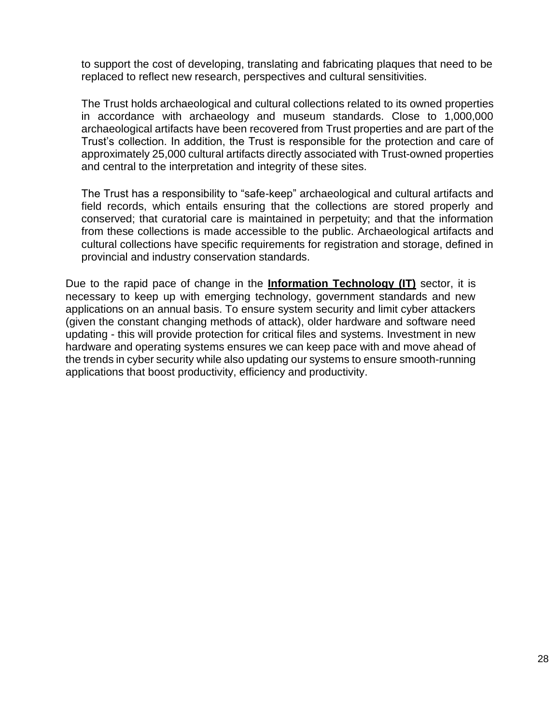to support the cost of developing, translating and fabricating plaques that need to be replaced to reflect new research, perspectives and cultural sensitivities.

The Trust holds archaeological and cultural collections related to its owned properties in accordance with archaeology and museum standards. Close to 1,000,000 archaeological artifacts have been recovered from Trust properties and are part of the Trust's collection. In addition, the Trust is responsible for the protection and care of approximately 25,000 cultural artifacts directly associated with Trust-owned properties and central to the interpretation and integrity of these sites.

The Trust has a responsibility to "safe-keep" archaeological and cultural artifacts and field records, which entails ensuring that the collections are stored properly and conserved; that curatorial care is maintained in perpetuity; and that the information from these collections is made accessible to the public. Archaeological artifacts and cultural collections have specific requirements for registration and storage, defined in provincial and industry conservation standards.

Due to the rapid pace of change in the **Information Technology (IT)** sector, it is necessary to keep up with emerging technology, government standards and new applications on an annual basis. To ensure system security and limit cyber attackers (given the constant changing methods of attack), older hardware and software need updating - this will provide protection for critical files and systems. Investment in new hardware and operating systems ensures we can keep pace with and move ahead of the trends in cyber security while also updating our systems to ensure smooth-running applications that boost productivity, efficiency and productivity.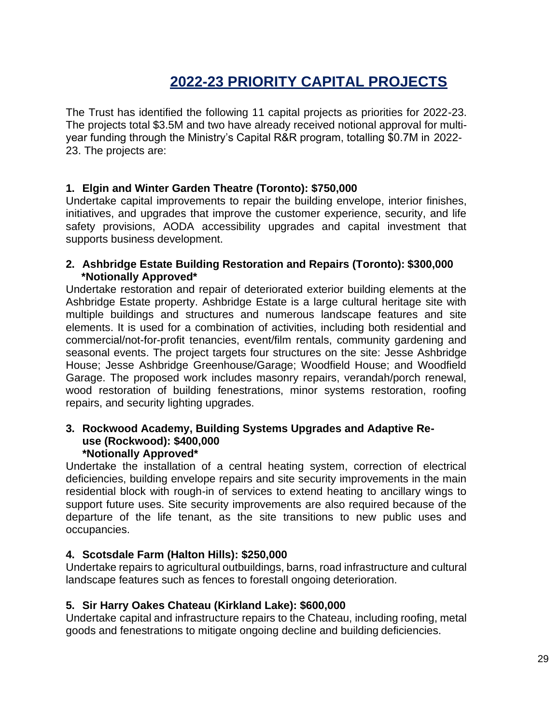# **2022-23 PRIORITY CAPITAL PROJECTS**

<span id="page-30-0"></span>The Trust has identified the following 11 capital projects as priorities for 2022-23. The projects total \$3.5M and two have already received notional approval for multiyear funding through the Ministry's Capital R&R program, totalling \$0.7M in 2022- 23. The projects are:

#### **1. Elgin and Winter Garden Theatre (Toronto): \$750,000**

Undertake capital improvements to repair the building envelope, interior finishes, initiatives, and upgrades that improve the customer experience, security, and life safety provisions, AODA accessibility upgrades and capital investment that supports business development.

#### **2. Ashbridge Estate Building Restoration and Repairs (Toronto): \$300,000 \*Notionally Approved\***

Undertake restoration and repair of deteriorated exterior building elements at the Ashbridge Estate property. Ashbridge Estate is a large cultural heritage site with multiple buildings and structures and numerous landscape features and site elements. It is used for a combination of activities, including both residential and commercial/not-for-profit tenancies, event/film rentals, community gardening and seasonal events. The project targets four structures on the site: Jesse Ashbridge House; Jesse Ashbridge Greenhouse/Garage; Woodfield House; and Woodfield Garage. The proposed work includes masonry repairs, verandah/porch renewal, wood restoration of building fenestrations, minor systems restoration, roofing repairs, and security lighting upgrades.

#### **3. Rockwood Academy, Building Systems Upgrades and Adaptive Reuse (Rockwood): \$400,000 \*Notionally Approved\***

Undertake the installation of a central heating system, correction of electrical deficiencies, building envelope repairs and site security improvements in the main residential block with rough-in of services to extend heating to ancillary wings to support future uses. Site security improvements are also required because of the departure of the life tenant, as the site transitions to new public uses and occupancies.

#### **4. Scotsdale Farm (Halton Hills): \$250,000**

Undertake repairs to agricultural outbuildings, barns, road infrastructure and cultural landscape features such as fences to forestall ongoing deterioration.

#### **5. Sir Harry Oakes Chateau (Kirkland Lake): \$600,000**

Undertake capital and infrastructure repairs to the Chateau, including roofing, metal goods and fenestrations to mitigate ongoing decline and building deficiencies.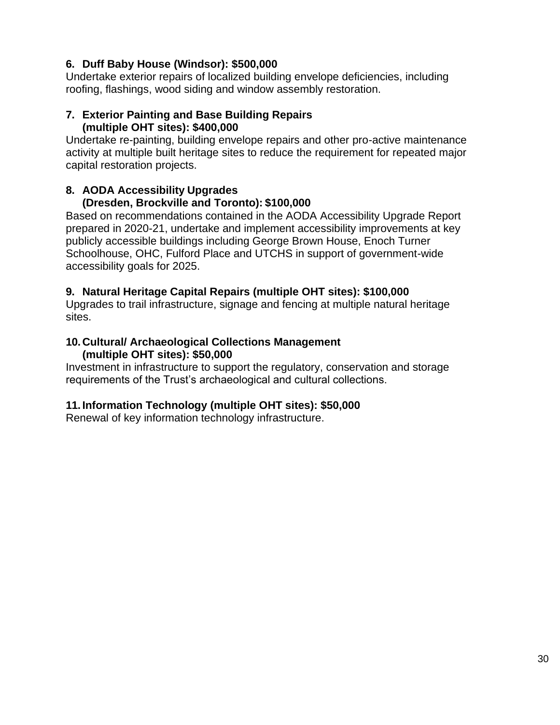# **6. Duff Baby House (Windsor): \$500,000**

Undertake exterior repairs of localized building envelope deficiencies, including roofing, flashings, wood siding and window assembly restoration.

#### **7. Exterior Painting and Base Building Repairs (multiple OHT sites): \$400,000**

Undertake re-painting, building envelope repairs and other pro-active maintenance activity at multiple built heritage sites to reduce the requirement for repeated major capital restoration projects.

# **8. AODA Accessibility Upgrades**

# **(Dresden, Brockville and Toronto): \$100,000**

Based on recommendations contained in the AODA Accessibility Upgrade Report prepared in 2020-21, undertake and implement accessibility improvements at key publicly accessible buildings including George Brown House, Enoch Turner Schoolhouse, OHC, Fulford Place and UTCHS in support of government-wide accessibility goals for 2025.

# **9. Natural Heritage Capital Repairs (multiple OHT sites): \$100,000**

Upgrades to trail infrastructure, signage and fencing at multiple natural heritage sites.

#### **10.Cultural/ Archaeological Collections Management (multiple OHT sites): \$50,000**

Investment in infrastructure to support the regulatory, conservation and storage requirements of the Trust's archaeological and cultural collections.

# **11. Information Technology (multiple OHT sites): \$50,000**

Renewal of key information technology infrastructure.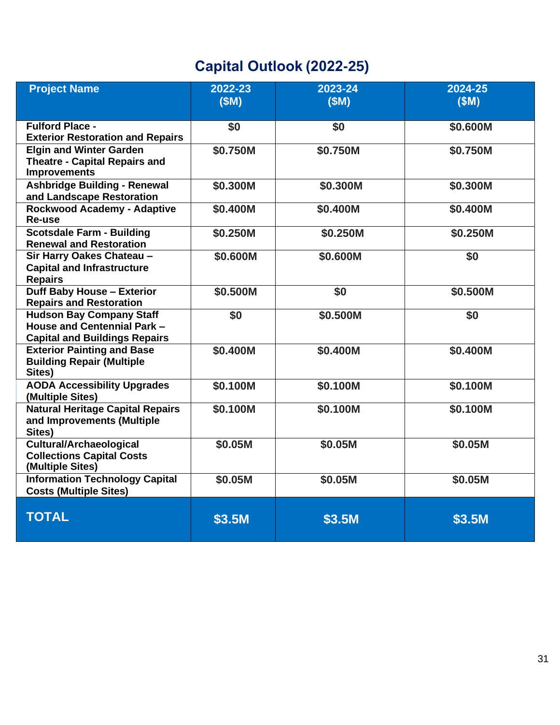# **Capital Outlook (2022-25)**

| <b>Project Name</b>                                                                                    | 2022-23<br>(SM) | 2023-24<br>(SM) | 2024-25<br>(SM) |
|--------------------------------------------------------------------------------------------------------|-----------------|-----------------|-----------------|
| <b>Fulford Place -</b><br><b>Exterior Restoration and Repairs</b>                                      | \$0             | \$0             | \$0.600M        |
| <b>Elgin and Winter Garden</b><br><b>Theatre - Capital Repairs and</b><br><b>Improvements</b>          | \$0.750M        | \$0.750M        | \$0.750M        |
| <b>Ashbridge Building - Renewal</b><br>and Landscape Restoration                                       | \$0.300M        | \$0.300M        | \$0.300M        |
| <b>Rockwood Academy - Adaptive</b><br>Re-use                                                           | \$0.400M        | \$0.400M        | \$0.400M        |
| <b>Scotsdale Farm - Building</b><br><b>Renewal and Restoration</b>                                     | \$0.250M        | \$0.250M        | \$0.250M        |
| Sir Harry Oakes Chateau -<br><b>Capital and Infrastructure</b><br><b>Repairs</b>                       | \$0.600M        | \$0.600M        | \$0             |
| <b>Duff Baby House - Exterior</b><br><b>Repairs and Restoration</b>                                    | \$0.500M        | \$0             | \$0.500M        |
| <b>Hudson Bay Company Staff</b><br>House and Centennial Park -<br><b>Capital and Buildings Repairs</b> | \$0             | \$0.500M        | \$0             |
| <b>Exterior Painting and Base</b><br><b>Building Repair (Multiple</b><br>Sites)                        | \$0.400M        | \$0.400M        | \$0.400M        |
| <b>AODA Accessibility Upgrades</b><br>(Multiple Sites)                                                 | \$0.100M        | \$0.100M        | \$0.100M        |
| <b>Natural Heritage Capital Repairs</b><br>and Improvements (Multiple<br>Sites)                        | \$0.100M        | \$0.100M        | \$0.100M        |
| <b>Cultural/Archaeological</b><br><b>Collections Capital Costs</b><br>(Multiple Sites)                 | \$0.05M         | \$0.05M         | \$0.05M         |
| <b>Information Technology Capital</b><br><b>Costs (Multiple Sites)</b>                                 | \$0.05M         | \$0.05M         | \$0.05M         |
| <b>TOTAL</b>                                                                                           | \$3.5M          | \$3.5M          | \$3.5M          |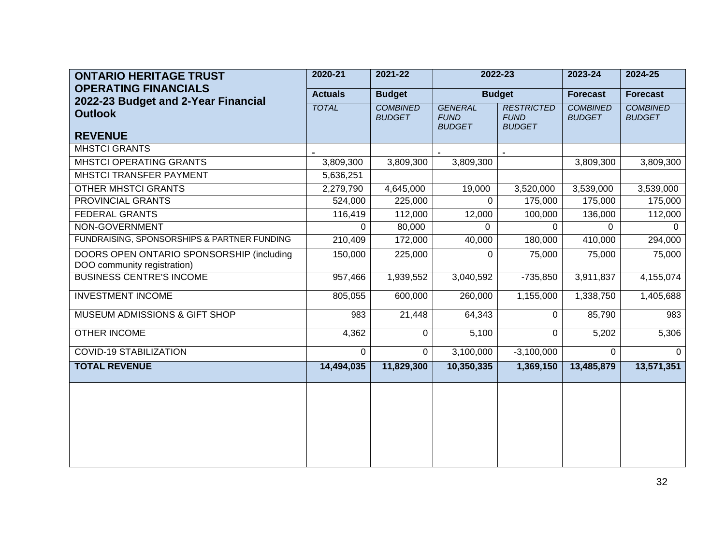| <b>ONTARIO HERITAGE TRUST</b>                                            | 2020-21        | 2021-22                          | 2022-23<br><b>Budget</b>                       |                                                   | 2023-24                          | 2024-25                          |
|--------------------------------------------------------------------------|----------------|----------------------------------|------------------------------------------------|---------------------------------------------------|----------------------------------|----------------------------------|
| <b>OPERATING FINANCIALS</b>                                              | <b>Actuals</b> | <b>Budget</b>                    |                                                |                                                   | <b>Forecast</b>                  | <b>Forecast</b>                  |
| 2022-23 Budget and 2-Year Financial<br><b>Outlook</b><br><b>REVENUE</b>  | <b>TOTAL</b>   | <b>COMBINED</b><br><b>BUDGET</b> | <b>GENERAL</b><br><b>FUND</b><br><b>BUDGET</b> | <b>RESTRICTED</b><br><b>FUND</b><br><b>BUDGET</b> | <b>COMBINED</b><br><b>BUDGET</b> | <b>COMBINED</b><br><b>BUDGET</b> |
| <b>MHSTCI GRANTS</b>                                                     |                |                                  |                                                |                                                   |                                  |                                  |
| MHSTCI OPERATING GRANTS                                                  | 3,809,300      | 3,809,300                        | 3,809,300                                      |                                                   | 3,809,300                        | 3,809,300                        |
| MHSTCI TRANSFER PAYMENT                                                  | 5,636,251      |                                  |                                                |                                                   |                                  |                                  |
| <b>OTHER MHSTCI GRANTS</b>                                               | 2,279,790      | 4,645,000                        | 19,000                                         | 3,520,000                                         | 3,539,000                        | 3,539,000                        |
| PROVINCIAL GRANTS                                                        | 524,000        | 225,000                          | 0                                              | 175,000                                           | 175,000                          | 175,000                          |
| <b>FEDERAL GRANTS</b>                                                    | 116,419        | 112,000                          | 12,000                                         | 100,000                                           | 136,000                          | 112,000                          |
| NON-GOVERNMENT                                                           | $\Omega$       | 80,000                           | $\Omega$                                       | $\Omega$                                          | $\Omega$                         | $\Omega$                         |
| FUNDRAISING, SPONSORSHIPS & PARTNER FUNDING                              | 210,409        | 172,000                          | 40,000                                         | 180,000                                           | 410,000                          | 294,000                          |
| DOORS OPEN ONTARIO SPONSORSHIP (including<br>DOO community registration) | 150,000        | 225,000                          | 0                                              | 75,000                                            | 75,000                           | 75,000                           |
| <b>BUSINESS CENTRE'S INCOME</b>                                          | 957,466        | 1,939,552                        | 3,040,592                                      | $-735,850$                                        | 3,911,837                        | 4,155,074                        |
| <b>INVESTMENT INCOME</b>                                                 | 805,055        | 600,000                          | 260,000                                        | 1,155,000                                         | 1,338,750                        | 1,405,688                        |
| MUSEUM ADMISSIONS & GIFT SHOP                                            | 983            | 21,448                           | 64,343                                         | $\Omega$                                          | 85,790                           | 983                              |
| <b>OTHER INCOME</b>                                                      | 4,362          | 0                                | 5,100                                          | $\Omega$                                          | 5,202                            | 5,306                            |
| <b>COVID-19 STABILIZATION</b>                                            | $\Omega$       | $\Omega$                         | 3,100,000                                      | $-3,100,000$                                      | $\Omega$                         | $\Omega$                         |
| <b>TOTAL REVENUE</b>                                                     | 14,494,035     | 11,829,300                       | 10,350,335                                     | 1,369,150                                         | 13,485,879                       | 13,571,351                       |
|                                                                          |                |                                  |                                                |                                                   |                                  |                                  |